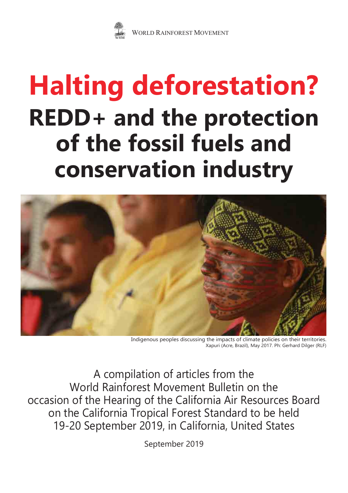

# **REDD+ and the protection of the fossil fuels and conservation industry Halting deforestation?**



Indigenous peoples discussing the impacts of climate policies on their territories. Xapuri (Acre, Brazil), May 2017. Ph: Gerhard Dilger (RLF)

A compilation of articles from the World Rainforest Movement Bulletin on the occasion of the Hearing of the California Air Resources Board on the California Tropical Forest Standard to be held 19-20 September 2019, in California, United States

September 2019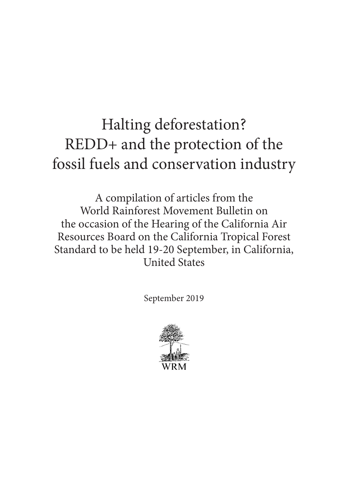## Halting deforestation? REDD+ and the protection of the fossil fuels and conservation industry

A compilation of articles from the World Rainforest Movement Bulletin on the occasion of the Hearing of the California Air Resources Board on the California Tropical Forest Standard to be held 19-20 September, in California, United States

September 2019

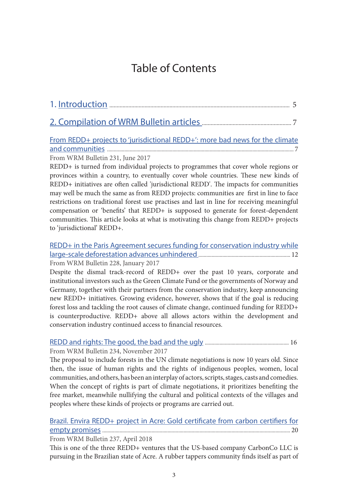### Table of Contents

<span id="page-2-0"></span>

#### [From REDD+ projects to 'jurisdictional REDD+': more bad news for the climate](#page-6-0) [and communities](#page-6-0) ............................................................................................................................................ 7

[From WRM Bulletin 231, June 2017](https://wrm.org.uy/bulletins/issue-231/)

REDD+ is turned from individual projects to programmes that cover whole regions or provinces within a country, to eventually cover whole countries. These new kinds of REDD+ initiatives are often called 'jurisdictional REDD'. The impacts for communities may well be much the same as from REDD projects: communities are first in line to face restrictions on traditional forest use practises and last in line for receiving meaningful compensation or 'benefits' that REDD+ is supposed to generate for forest-dependent communities. This article looks at what is motivating this change from REDD+ projects to 'jurisdictional' REDD+.

[REDD+ in the Paris Agreement secures funding for conservation industry while](#page-11-0) [large-scale deforestation advances unhindered](#page-11-0) ..................................................................... 12 From WRM Bulletin 228, January 2017

Despite the dismal track-record of REDD+ over the past 10 years, corporate and institutional investors such as the Green Climate Fund or the governments of Norway and Germany, together with their partners from the conservation industry, keep announcing new REDD+ initiatives. Growing evidence, however, shows that if the goal is reducing forest loss and tackling the root causes of climate change, continued funding for REDD+ is counterproductive. REDD+ above all allows actors within the development and conservation industry continued access to financial resources.

#### [REDD and rights: The good, the bad and the ugly](#page-15-0) ............................................................... 16

From WRM Bulletin 234, November 2017

The proposal to include forests in the UN climate negotiations is now 10 years old. Since then, the issue of human rights and the rights of indigenous peoples, women, local communities, and others, has been an interplay of actors, scripts, stages, casts and comedies. When the concept of rights is part of climate negotiations, it prioritizes benefiting the free market, meanwhile nullifying the cultural and political contexts of the villages and peoples where these kinds of projects or programs are carried out.

#### [Brazil. Envira REDD+ project in Acre: Gold certificate from carbon certifiers for](#page-19-0) [empty promises](#page-19-0) ............................................................................................................................................. 20

From WRM Bulletin 237, April 2018

This is one of the three REDD+ ventures that the US-based company CarbonCo LLC is pursuing in the Brazilian state of Acre. A rubber tappers community finds itself as part of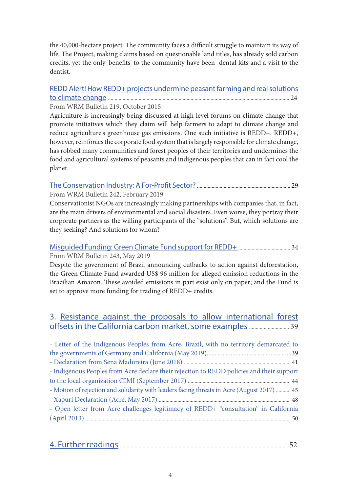the 40,000-hectare project. The community faces a difficult struggle to maintain its way of life. The Project, making claims based on questionable land titles, has already sold carbon credits, yet the only 'benefits' to the community have been dental kits and a visit to the dentist.

#### [REDD Alert! How REDD+ projects undermine peasant farming and real solutions](#page-23-0) [to climate change](#page-23-0) ........................................................................................................................................ 24

From WRM Bulletin 219, October 2015

Agriculture is increasingly being discussed at high level forums on climate change that promote initiatives which they claim will help farmers to adapt to climate change and reduce agriculture's greenhouse gas emissions. One such initiative is REDD+. REDD+, however, reinforces the corporate food system that is largely responsible for climate change, has robbed many communities and forest peoples of their territories and undermines the food and agricultural systems of peasants and indigenous peoples that can in fact cool the planet.

#### [The Conservation Industry: A For-Profit Sector?](#page-28-0) ...................................................................... 29

From WRM Bulletin 242, February 2019

Conservationist NGOs are increasingly making partnerships with companies that, in fact, are the main drivers of environmental and social disasters. Even worse, they portray their corporate partners as the willing participants of the "solutions". But, which solutions are they seeking? And solutions for whom?

#### [Misguided Funding: Green Climate Fund support for REDD+](#page-33-0) ....................................... 34 From WRM Bulletin 243, May 2019

Despite the government of Brazil announcing cutbacks to action against deforestation, the Green Climate Fund awarded US\$ 96 million for alleged emission reductions in the Brazilian Amazon. These avoided emissions in part exist only on paper; and the Fund is set to approve more funding for trading of REDD+ credits.

#### 3. [Resistance against the proposals to allow international forest](#page-38-0) [offsets in the California carbon market, some examples](#page-38-0).............................. 39

| - Letter of the Indigenous Peoples from Acre, Brazil, with no territory demarcated to      |  |
|--------------------------------------------------------------------------------------------|--|
|                                                                                            |  |
|                                                                                            |  |
| - Indigenous Peoples from Acre declare their rejection to REDD policies and their support  |  |
|                                                                                            |  |
| - Motion of rejection and solidarity with leaders facing threats in Acre (August 2017)  45 |  |
|                                                                                            |  |
| - Open letter from Acre challenges legitimacy of REDD+ "consultation" in California        |  |
|                                                                                            |  |

|--|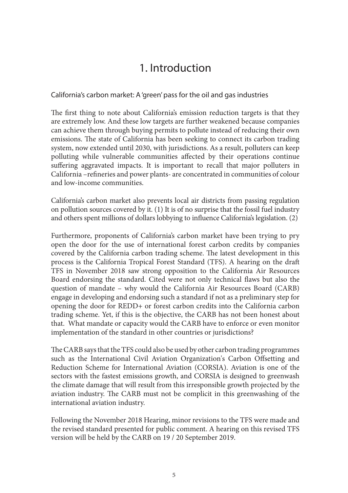### 1. Introduction

<span id="page-4-0"></span>California's carbon market: A 'green' pass for the oil and gas industries

The first thing to note about California's emission reduction targets is that they are extremely low. And these low targets are further weakened because companies can achieve them through buying permits to pollute instead of reducing their own emissions. The state of California has been seeking to connect its carbon trading system, now extended until 2030, with jurisdictions. As a result, polluters can keep polluting while vulnerable communities affected by their operations continue suffering aggravated impacts. It is important to recall that major polluters in California –refineries and power plants- are concentrated in communities of colour and low-income communities.

California's carbon market also prevents local air districts from passing regulation on pollution sources covered by it. (1) It is of no surprise that the fossil fuel industry and others spent millions of dollars lobbying to influence California's legislation. (2)

Furthermore, proponents of California's carbon market have been trying to pry open the door for the use of international forest carbon credits by companies covered by the California carbon trading scheme. The latest development in this process is the California Tropical Forest Standard (TFS). A hearing on the draft TFS in November 2018 saw strong opposition to the California Air Resources Board endorsing the standard. Cited were not only technical flaws but also the question of mandate – why would the California Air Resources Board (CARB) engage in developing and endorsing such a standard if not as a preliminary step for opening the door for REDD+ or forest carbon credits into the California carbon trading scheme. Yet, if this is the objective, the CARB has not been honest about that. What mandate or capacity would the CARB have to enforce or even monitor implementation of the standard in other countries or jurisdictions?

The CARB says that the TFS could also be used by other carbon trading programmes such as the International Civil Aviation Organization's Carbon Offsetting and Reduction Scheme for International Aviation (CORSIA). Aviation is one of the sectors with the fastest emissions growth, and CORSIA is designed to greenwash the climate damage that will result from this irresponsible growth projected by the aviation industry. The CARB must not be complicit in this greenwashing of the international aviation industry.

Following the November 2018 Hearing, minor revisions to the TFS were made and the revised standard presented for public comment. A hearing on this revised TFS version will be held by the CARB on 19 / 20 September 2019.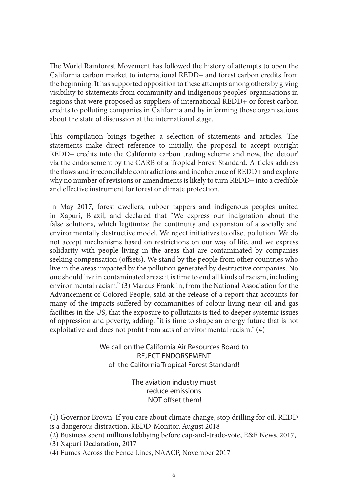The World Rainforest Movement has followed the history of attempts to open the California carbon market to international REDD+ and forest carbon credits from the beginning. It has supported opposition to these attempts among others by giving visibility to statements from community and indigenous peoples' organisations in regions that were proposed as suppliers of international REDD+ or forest carbon credits to polluting companies in California and by informing those organisations about the state of discussion at the international stage.

This compilation brings together a selection of statements and articles. The statements make direct reference to initially, the proposal to accept outright REDD+ credits into the California carbon trading scheme and now, the 'detour' via the endorsement by the CARB of a Tropical Forest Standard. Articles address the flaws and irreconcilable contradictions and incoherence of REDD+ and explore why no number of revisions or amendments is likely to turn REDD+ into a credible and effective instrument for forest or climate protection.

In May 2017, forest dwellers, rubber tappers and indigenous peoples united in Xapuri, Brazil, and declared that "We express our indignation about the false solutions, which legitimize the continuity and expansion of a socially and environmentally destructive model. We reject initiatives to offset pollution. We do not accept mechanisms based on restrictions on our way of life, and we express solidarity with people living in the areas that are contaminated by companies seeking compensation (offsets). We stand by the people from other countries who live in the areas impacted by the pollution generated by destructive companies. No one should live in contaminated areas; it is time to end all kinds of racism, including environmental racism." (3) Marcus Franklin, from the National Association for the Advancement of Colored People, said at the release of a report that accounts for many of the impacts suffered by communities of colour living near oil and gas facilities in the US, that the exposure to pollutants is tied to deeper systemic issues of oppression and poverty, adding, "it is time to shape an energy future that is not exploitative and does not profit from acts of environmental racism." (4)

> We call on the California Air Resources Board to REJECT ENDORSEMENT of the California Tropical Forest Standard!

> > The aviation industry must reduce emissions NOT offset them!

(1) Governor Brown: If you care about climate change, stop drilling for oil. REDD is a dangerous distraction, REDD-Monitor, August 2018

- (2) Business spent millions lobbying before cap-and-trade-vote, E&E News, 2017,
- (3) Xapuri Declaration, 2017

(4) Fumes Across the Fence Lines, NAACP, November 2017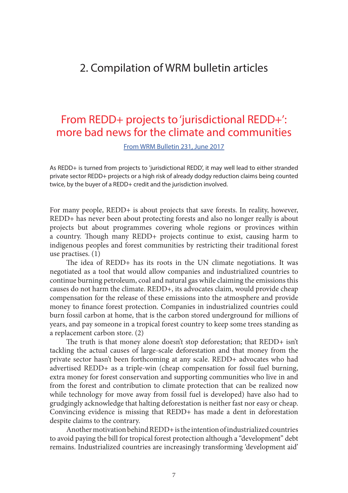### <span id="page-6-0"></span>2. Compilation of WRM bulletin articles

### From REDD+ projects to 'jurisdictional REDD+': more bad news for the climate and communities

[From WRM Bulletin 231, June 2017](https://wrm.org.uy/bulletins/issue-231/)

As REDD+ is turned from projects to 'jurisdictional REDD', it may well lead to either stranded private sector REDD+ projects or a high risk of already dodgy reduction claims being counted twice, by the buyer of a REDD+ credit and the jurisdiction involved.

For many people, REDD+ is about projects that save forests. In reality, however, REDD+ has never been about protecting forests and also no longer really is about projects but about programmes covering whole regions or provinces within a country. Though many REDD+ projects continue to exist, causing harm to indigenous peoples and forest communities by restricting their traditional forest use practises. (1)

The idea of REDD+ has its roots in the UN climate negotiations. It was negotiated as a tool that would allow companies and industrialized countries to continue burning petroleum, coal and natural gas while claiming the emissions this causes do not harm the climate. REDD+, its advocates claim, would provide cheap compensation for the release of these emissions into the atmosphere and provide money to finance forest protection. Companies in industrialized countries could burn fossil carbon at home, that is the carbon stored underground for millions of years, and pay someone in a tropical forest country to keep some trees standing as a replacement carbon store. (2)

The truth is that money alone doesn't stop deforestation; that REDD+ isn't tackling the actual causes of large-scale deforestation and that money from the private sector hasn't been forthcoming at any scale. REDD+ advocates who had advertised REDD+ as a triple-win (cheap compensation for fossil fuel burning, extra money for forest conservation and supporting communities who live in and from the forest and contribution to climate protection that can be realized now while technology for move away from fossil fuel is developed) have also had to grudgingly acknowledge that halting deforestation is neither fast nor easy or cheap. Convincing evidence is missing that REDD+ has made a dent in deforestation despite claims to the contrary.

Another motivation behind REDD+ is the intention of industrialized countries to avoid paying the bill for tropical forest protection although a "development" debt remains. Industrialized countries are increasingly transforming 'development aid'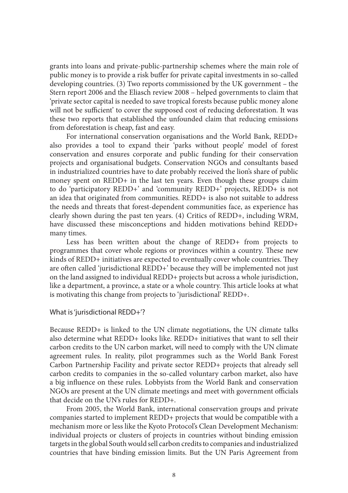grants into loans and private-public-partnership schemes where the main role of public money is to provide a risk buffer for private capital investments in so-called developing countries. (3) Two reports commissioned by the UK government – the Stern report 2006 and the Eliasch review 2008 – helped governments to claim that 'private sector capital is needed to save tropical forests because public money alone will not be sufficient' to cover the supposed cost of reducing deforestation. It was these two reports that established the unfounded claim that reducing emissions from deforestation is cheap, fast and easy.

For international conservation organisations and the World Bank, REDD+ also provides a tool to expand their 'parks without people' model of forest conservation and ensures corporate and public funding for their conservation projects and organisational budgets. Conservation NGOs and consultants based in industrialized countries have to date probably received the lion's share of public money spent on REDD+ in the last ten years. Even though these groups claim to do 'participatory REDD+' and 'community REDD+' projects, REDD+ is not an idea that originated from communities. REDD+ is also not suitable to address the needs and threats that forest-dependent communities face, as experience has clearly shown during the past ten years. (4) Critics of REDD+, including WRM, have discussed these misconceptions and hidden motivations behind REDD+ many times.

Less has been written about the change of REDD+ from projects to programmes that cover whole regions or provinces within a country. These new kinds of REDD+ initiatives are expected to eventually cover whole countries. They are often called 'jurisdictional REDD+' because they will be implemented not just on the land assigned to individual REDD+ projects but across a whole jurisdiction, like a department, a province, a state or a whole country. This article looks at what is motivating this change from projects to 'jurisdictional' REDD+.

#### What is 'jurisdictional REDD+'?

Because REDD+ is linked to the UN climate negotiations, the UN climate talks also determine what REDD+ looks like. REDD+ initiatives that want to sell their carbon credits to the UN carbon market, will need to comply with the UN climate agreement rules. In reality, pilot programmes such as the World Bank Forest Carbon Partnership Facility and private sector REDD+ projects that already sell carbon credits to companies in the so-called voluntary carbon market, also have a big influence on these rules. Lobbyists from the World Bank and conservation NGOs are present at the UN climate meetings and meet with government officials that decide on the UN's rules for REDD+.

From 2005, the World Bank, international conservation groups and private companies started to implement REDD+ projects that would be compatible with a mechanism more or less like the Kyoto Protocol's Clean Development Mechanism: individual projects or clusters of projects in countries without binding emission targets in the global South would sell carbon credits to companies and industrialized countries that have binding emission limits. But the UN Paris Agreement from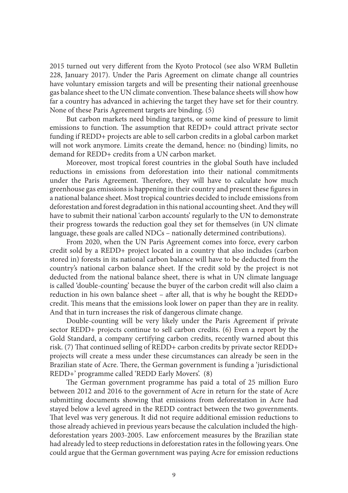2015 turned out very different from the Kyoto Protocol (see also WRM Bulletin 228, January 2017). Under the Paris Agreement on climate change all countries have voluntary emission targets and will be presenting their national greenhouse gas balance sheet to the UN climate convention. These balance sheets will show how far a country has advanced in achieving the target they have set for their country. None of these Paris Agreement targets are binding. (5)

But carbon markets need binding targets, or some kind of pressure to limit emissions to function. The assumption that REDD+ could attract private sector funding if REDD+ projects are able to sell carbon credits in a global carbon market will not work anymore. Limits create the demand, hence: no (binding) limits, no demand for REDD+ credits from a UN carbon market.

Moreover, most tropical forest countries in the global South have included reductions in emissions from deforestation into their national commitments under the Paris Agreement. Therefore, they will have to calculate how much greenhouse gas emissions is happening in their country and present these figures in a national balance sheet. Most tropical countries decided to include emissions from deforestation and forest degradation in this national accounting sheet. And they will have to submit their national 'carbon accounts' regularly to the UN to demonstrate their progress towards the reduction goal they set for themselves (in UN climate language, these goals are called NDCs – nationally determined contributions).

From 2020, when the UN Paris Agreement comes into force, every carbon credit sold by a REDD+ project located in a country that also includes (carbon stored in) forests in its national carbon balance will have to be deducted from the country's national carbon balance sheet. If the credit sold by the project is not deducted from the national balance sheet, there is what in UN climate language is called 'double-counting' because the buyer of the carbon credit will also claim a reduction in his own balance sheet – after all, that is why he bought the REDD+ credit. This means that the emissions look lower on paper than they are in reality. And that in turn increases the risk of dangerous climate change.

Double-counting will be very likely under the Paris Agreement if private sector REDD+ projects continue to sell carbon credits. (6) Even a report by the Gold Standard, a company certifying carbon credits, recently warned about this risk. (7) That continued selling of REDD+ carbon credits by private sector REDD+ projects will create a mess under these circumstances can already be seen in the Brazilian state of Acre. There, the German government is funding a 'jurisdictional REDD+' programme called 'REDD Early Movers'. (8)

The German government programme has paid a total of 25 million Euro between 2012 and 2016 to the government of Acre in return for the state of Acre submitting documents showing that emissions from deforestation in Acre had stayed below a level agreed in the REDD contract between the two governments. That level was very generous. It did not require additional emission reductions to those already achieved in previous years because the calculation included the highdeforestation years 2003-2005. Law enforcement measures by the Brazilian state had already led to steep reductions in deforestation rates in the following years. One could argue that the German government was paying Acre for emission reductions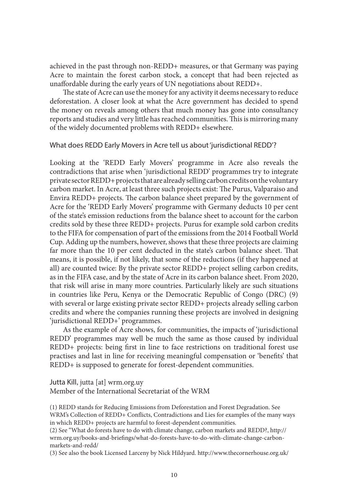achieved in the past through non-REDD+ measures, or that Germany was paying Acre to maintain the forest carbon stock, a concept that had been rejected as unaffordable during the early years of UN negotiations about REDD+.

The state of Acre can use the money for any activity it deems necessary to reduce deforestation. A closer look at what the Acre government has decided to spend the money on reveals among others that much money has gone into consultancy reports and studies and very little has reached communities. This is mirroring many of the widely documented problems with REDD+ elsewhere.

#### What does REDD Early Movers in Acre tell us about 'jurisdictional REDD'?

Looking at the 'REDD Early Movers' programme in Acre also reveals the contradictions that arise when 'jurisdictional REDD' programmes try to integrate private sector REDD+ projects that are already selling carbon credits on the voluntary carbon market. In Acre, at least three such projects exist: The Purus, Valparaiso and Envira REDD+ projects. The carbon balance sheet prepared by the government of Acre for the 'REDD Early Movers' programme with Germany deducts 10 per cent of the state's emission reductions from the balance sheet to account for the carbon credits sold by these three REDD+ projects. Purus for example sold carbon credits to the FIFA for compensation of part of the emissions from the 2014 Football World Cup. Adding up the numbers, however, shows that these three projects are claiming far more than the 10 per cent deducted in the state's carbon balance sheet. That means, it is possible, if not likely, that some of the reductions (if they happened at all) are counted twice: By the private sector REDD+ project selling carbon credits, as in the FIFA case, and by the state of Acre in its carbon balance sheet. From 2020, that risk will arise in many more countries. Particularly likely are such situations in countries like Peru, Kenya or the Democratic Republic of Congo (DRC) (9) with several or large existing private sector REDD+ projects already selling carbon credits and where the companies running these projects are involved in designing 'jurisdictional REDD+' programmes.

As the example of Acre shows, for communities, the impacts of 'jurisdictional REDD' programmes may well be much the same as those caused by individual REDD+ projects: being first in line to face restrictions on traditional forest use practises and last in line for receiving meaningful compensation or 'benefits' that REDD+ is supposed to generate for forest-dependent communities.

Jutta Kill, jutta [at] wrm.org.uy Member of the International Secretariat of the WRM

(1) REDD stands for Reducing Emissions from Deforestation and Forest Degradation. See WRM's Collection of REDD+ Conflicts, Contradictions and Lies for examples of the many ways in which REDD+ projects are harmful to forest-dependent communities.

(2) See "What do forests have to do with climate change, carbon markets and REDD?, http:// wrm.org.uy/books-and-briefings/what-do-forests-have-to-do-with-climate-change-carbonmarkets-and-redd/

(3) See also the book Licensed Larceny by Nick Hildyard. http://www.thecornerhouse.org.uk/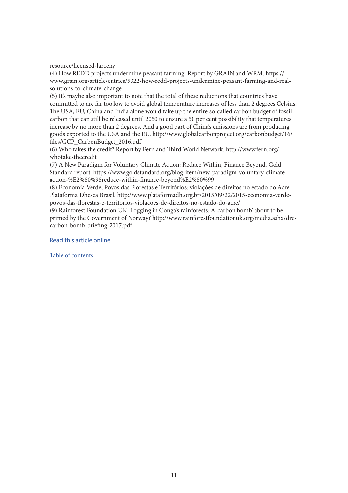resource/licensed-larceny

(4) How REDD projects undermine peasant farming. Report by GRAIN and WRM. https:// www.grain.org/article/entries/5322-how-redd-projects-undermine-peasant-farming-and-realsolutions-to-climate-change

(5) It's maybe also important to note that the total of these reductions that countries have committed to are far too low to avoid global temperature increases of less than 2 degrees Celsius: The USA, EU, China and India alone would take up the entire so-called carbon budget of fossil carbon that can still be released until 2050 to ensure a 50 per cent possibility that temperatures increase by no more than 2 degrees. And a good part of China's emissions are from producing goods exported to the USA and the EU. http://www.globalcarbonproject.org/carbonbudget/16/ files/GCP\_CarbonBudget\_2016.pdf

(6) Who takes the credit? Report by Fern and Third World Network. http://www.fern.org/ whotakesthecredit

(7) A New Paradigm for Voluntary Climate Action: Reduce Within, Finance Beyond. Gold Standard report. https://www.goldstandard.org/blog-item/new-paradigm-voluntary-climateaction-%E2%80%98reduce-within-finance-beyond%E2%80%99

(8) Economía Verde, Povos das Florestas e Territórios: violações de direitos no estado do Acre. Plataforma Dhesca Brasil. http://www.plataformadh.org.br/2015/09/22/2015-economia-verdepovos-das-florestas-e-territorios-violacoes-de-direitos-no-estado-do-acre/

(9) Rainforest Foundation UK: Logging in Congo's rainforests: A 'carbon bomb' about to be primed by the Government of Norway? http://www.rainforestfoundationuk.org/media.ashx/drccarbon-bomb-briefing-2017.pdf

[Read this article online](https://wrm.org.uy/articles-from-the-wrm-bulletin/section2/from-redd-projects-to-jurisdictional-redd-more-bad-news-for-the-climate-and-communities/)

[Table of contents](#page-2-0)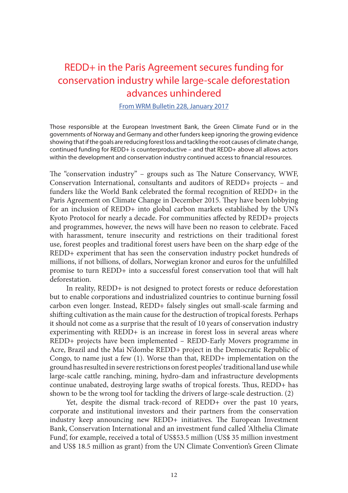### <span id="page-11-0"></span>REDD+ in the Paris Agreement secures funding for conservation industry while large-scale deforestation advances unhindered

[From WRM Bulletin 228, January 2017](https://wrm.org.uy/bulletins/issue-228/)

Those responsible at the European Investment Bank, the Green Climate Fund or in the governments of Norway and Germany and other funders keep ignoring the growing evidence showing that if the goals are reducing forest loss and tackling the root causes of climate change, continued funding for REDD+ is counterproductive – and that REDD+ above all allows actors within the development and conservation industry continued access to financial resources.

The "conservation industry" – groups such as The Nature Conservancy, WWF, Conservation International, consultants and auditors of REDD+ projects – and funders like the World Bank celebrated the formal recognition of REDD+ in the Paris Agreement on Climate Change in December 2015. They have been lobbying for an inclusion of REDD+ into global carbon markets established by the UN's Kyoto Protocol for nearly a decade. For communities affected by REDD+ projects and programmes, however, the news will have been no reason to celebrate. Faced with harassment, tenure insecurity and restrictions on their traditional forest use, forest peoples and traditional forest users have been on the sharp edge of the REDD+ experiment that has seen the conservation industry pocket hundreds of millions, if not billions, of dollars, Norwegian kronor and euros for the unfulfilled promise to turn REDD+ into a successful forest conservation tool that will halt deforestation.

In reality, REDD+ is not designed to protect forests or reduce deforestation but to enable corporations and industrialized countries to continue burning fossil carbon even longer. Instead, REDD+ falsely singles out small-scale farming and shifting cultivation as the main cause for the destruction of tropical forests. Perhaps it should not come as a surprise that the result of 10 years of conservation industry experimenting with REDD+ is an increase in forest loss in several areas where REDD+ projects have been implemented – REDD-Early Movers programme in Acre, Brazil and the Mai N'dombe REDD+ project in the Democratic Republic of Congo, to name just a few (1). Worse than that, REDD+ implementation on the ground has resulted in severe restrictions on forest peoples' traditional land use while large-scale cattle ranching, mining, hydro-dam and infrastructure developments continue unabated, destroying large swaths of tropical forests. Thus, REDD+ has shown to be the wrong tool for tackling the drivers of large-scale destruction. (2)

Yet, despite the dismal track-record of REDD+ over the past 10 years, corporate and institutional investors and their partners from the conservation industry keep announcing new REDD+ initiatives. The European Investment Bank, Conservation International and an investment fund called 'Althelia Climate Fund', for example, received a total of US\$53.5 million (US\$ 35 million investment and US\$ 18.5 million as grant) from the UN Climate Convention's Green Climate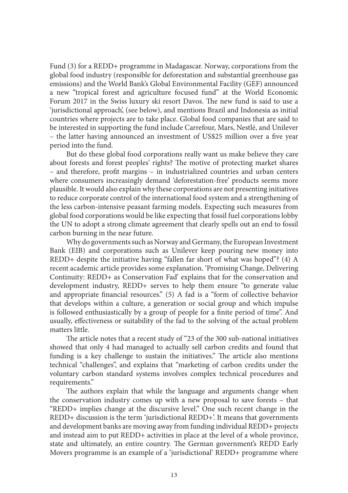Fund (3) for a REDD+ programme in Madagascar. Norway, corporations from the global food industry (responsible for deforestation and substantial greenhouse gas emissions) and the World Bank's Global Environmental Facility (GEF) announced a new "tropical forest and agriculture focused fund" at the World Economic Forum 2017 in the Swiss luxury ski resort Davos. The new fund is said to use a 'jurisdictional approach', (see below), and mentions Brazil and Indonesia as initial countries where projects are to take place. Global food companies that are said to be interested in supporting the fund include Carrefour, Mars, Nestlé, and Unilever – the latter having announced an investment of US\$25 million over a five year period into the fund.

But do these global food corporations really want us make believe they care about forests and forest peoples' rights? The motive of protecting market shares – and therefore, profit margins – in industrialized countries and urban centers where consumers increasingly demand 'deforestation-free' products seems more plausible. It would also explain why these corporations are not presenting initiatives to reduce corporate control of the international food system and a strengthening of the less carbon-intensive peasant farming models. Expecting such measures from global food corporations would be like expecting that fossil fuel corporations lobby the UN to adopt a strong climate agreement that clearly spells out an end to fossil carbon burning in the near future.

Why do governments such as Norway and Germany, the European Investment Bank (EIB) and corporations such as Unilever keep pouring new money into REDD+ despite the initiative having "fallen far short of what was hoped"? (4) A recent academic article provides some explanation. 'Promising Change, Delivering Continuity: REDD+ as Conservation Fad' explains that for the conservation and development industry, REDD+ serves to help them ensure "to generate value and appropriate financial resources." (5) A fad is a "form of collective behavior that develops within a culture, a generation or social group and which impulse is followed enthusiastically by a group of people for a finite period of time". And usually, effectiveness or suitability of the fad to the solving of the actual problem matters little.

The article notes that a recent study of "23 of the 300 sub-national initiatives showed that only 4 had managed to actually sell carbon credits and found that funding is a key challenge to sustain the initiatives." The article also mentions technical "challenges", and explains that "marketing of carbon credits under the voluntary carbon standard systems involves complex technical procedures and requirements."

The authors explain that while the language and arguments change when the conservation industry comes up with a new proposal to save forests – that "REDD+ implies change at the discursive level." One such recent change in the REDD+ discussion is the term 'jurisdictional REDD+'. It means that governments and development banks are moving away from funding individual REDD+ projects and instead aim to put REDD+ activities in place at the level of a whole province, state and ultimately, an entire country. The German government's REDD Early Movers programme is an example of a 'jurisdictional' REDD+ programme where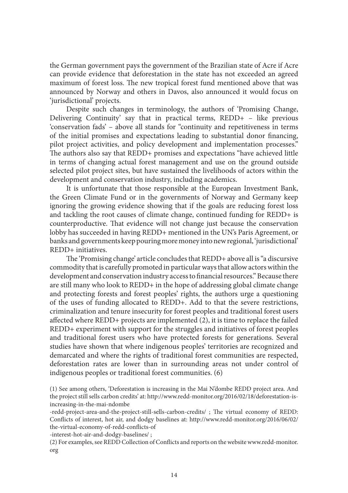the German government pays the government of the Brazilian state of Acre if Acre can provide evidence that deforestation in the state has not exceeded an agreed maximum of forest loss. The new tropical forest fund mentioned above that was announced by Norway and others in Davos, also announced it would focus on 'jurisdictional' projects.

Despite such changes in terminology, the authors of 'Promising Change, Delivering Continuity' say that in practical terms, REDD+ – like previous 'conservation fads' – above all stands for "continuity and repetitiveness in terms of the initial promises and expectations leading to substantial donor financing, pilot project activities, and policy development and implementation processes." The authors also say that REDD+ promises and expectations "have achieved little in terms of changing actual forest management and use on the ground outside selected pilot project sites, but have sustained the livelihoods of actors within the development and conservation industry, including academics.

It is unfortunate that those responsible at the European Investment Bank, the Green Climate Fund or in the governments of Norway and Germany keep ignoring the growing evidence showing that if the goals are reducing forest loss and tackling the root causes of climate change, continued funding for REDD+ is counterproductive. That evidence will not change just because the conservation lobby has succeeded in having REDD+ mentioned in the UN's Paris Agreement, or banks and governments keep pouring more money into new regional, 'jurisdictional' REDD+ initiatives.

The 'Promising change' article concludes that REDD+ above all is "a discursive commodity that is carefully promoted in particular ways that allow actors within the development and conservation industry access to financial resources." Because there are still many who look to REDD+ in the hope of addressing global climate change and protecting forests and forest peoples' rights, the authors urge a questioning of the uses of funding allocated to REDD+. Add to that the severe restrictions, criminalization and tenure insecurity for forest peoples and traditional forest users affected where REDD+ projects are implemented (2), it is time to replace the failed REDD+ experiment with support for the struggles and initiatives of forest peoples and traditional forest users who have protected forests for generations. Several studies have shown that where indigenous peoples' territories are recognized and demarcated and where the rights of traditional forest communities are respected, deforestation rates are lower than in surrounding areas not under control of indigenous peoples or traditional forest communities. (6)

-interest-hot-air-and-dodgy-baselines/ ;

<sup>(1)</sup> See among others, 'Deforestation is increasing in the Mai N'dombe REDD project area. And the project still sells carbon credits' at: http://www.redd-monitor.org/2016/02/18/deforestation-isincreasing-in-the-mai-ndombe

<sup>-</sup>redd-project-area-and-the-project-still-sells-carbon-credits/ ; The virtual economy of REDD: Conflicts of interest, hot air, and dodgy baselines at: http://www.redd-monitor.org/2016/06/02/ the-virtual-economy-of-redd-conflicts-of

<sup>(2)</sup> For examples, see REDD Collection of Conflicts and reports on the website www.redd-monitor. org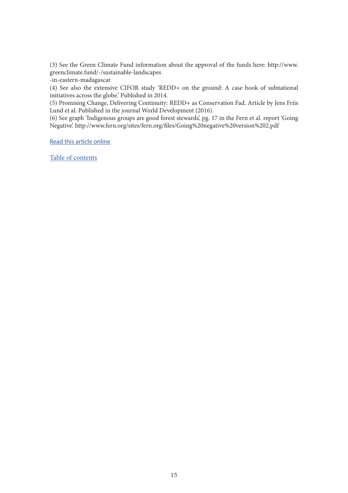(3) See the Green Climate Fund information about the approval of the funds here: http://www. greenclimate.fund/-/sustainable-landscapes

-in-eastern-madagascar

(4) See also the extensive CIFOR study 'REDD+ on the ground: A case book of subnational initiatives across the globe.' Published in 2014.

(5) Promising Change, Delivering Continuity: REDD+ as Conservation Fad. Article by Jens Friis Lund et al. Published in the journal World Development (2016).

(6) See graph 'Indigenous groups are good forest stewards', pg. 17 in the Fern et al. report 'Going Negative'. http://www.fern.org/sites/fern.org/files/Going%20negative%20version%202.pdf

[Read this article online](https://wrm.org.uy/articles-from-the-wrm-bulletin/section1/redd-in-the-paris-agreement-secures-funding-for-conservation-industry-while-large-scale-deforestation-advances-unhindered/)

[Table of contents](#page-2-0)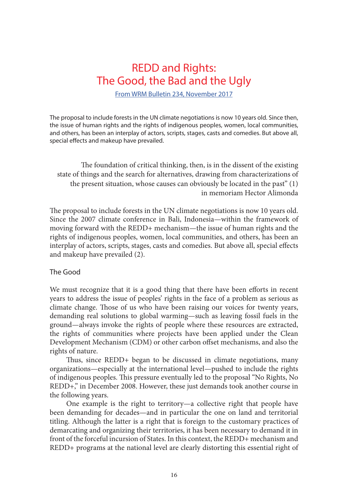### <span id="page-15-0"></span>REDD and Rights: The Good, the Bad and the Ugly

[From WRM Bulletin 234, November 2017](https://wrm.org.uy/bulletins/issue-234/)

The proposal to include forests in the UN climate negotiations is now 10 years old. Since then, the issue of human rights and the rights of indigenous peoples, women, local communities, and others, has been an interplay of actors, scripts, stages, casts and comedies. But above all, special effects and makeup have prevailed.

The foundation of critical thinking, then, is in the dissent of the existing state of things and the search for alternatives, drawing from characterizations of the present situation, whose causes can obviously be located in the past" (1) in memoriam Hector Alimonda

The proposal to include forests in the UN climate negotiations is now 10 years old. Since the 2007 climate conference in Bali, Indonesia—within the framework of moving forward with the REDD+ mechanism—the issue of human rights and the rights of indigenous peoples, women, local communities, and others, has been an interplay of actors, scripts, stages, casts and comedies. But above all, special effects and makeup have prevailed (2).

#### The Good

We must recognize that it is a good thing that there have been efforts in recent years to address the issue of peoples' rights in the face of a problem as serious as climate change. Those of us who have been raising our voices for twenty years, demanding real solutions to global warming—such as leaving fossil fuels in the ground—always invoke the rights of people where these resources are extracted, the rights of communities where projects have been applied under the Clean Development Mechanism (CDM) or other carbon offset mechanisms, and also the rights of nature.

Thus, since REDD+ began to be discussed in climate negotiations, many organizations—especially at the international level—pushed to include the rights of indigenous peoples. This pressure eventually led to the proposal "No Rights, No REDD+," in December 2008. However, these just demands took another course in the following years.

One example is the right to territory—a collective right that people have been demanding for decades—and in particular the one on land and territorial titling. Although the latter is a right that is foreign to the customary practices of demarcating and organizing their territories, it has been necessary to demand it in front of the forceful incursion of States. In this context, the REDD+ mechanism and REDD+ programs at the national level are clearly distorting this essential right of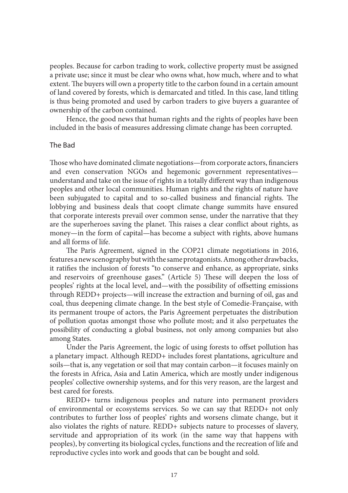peoples. Because for carbon trading to work, collective property must be assigned a private use; since it must be clear who owns what, how much, where and to what extent. The buyers will own a property title to the carbon found in a certain amount of land covered by forests, which is demarcated and titled. In this case, land titling is thus being promoted and used by carbon traders to give buyers a guarantee of ownership of the carbon contained.

Hence, the good news that human rights and the rights of peoples have been included in the basis of measures addressing climate change has been corrupted.

#### The Bad

Those who have dominated climate negotiations—from corporate actors, financiers and even conservation NGOs and hegemonic government representatives understand and take on the issue of rights in a totally different way than indigenous peoples and other local communities. Human rights and the rights of nature have been subjugated to capital and to so-called business and financial rights. The lobbying and business deals that coopt climate change summits have ensured that corporate interests prevail over common sense, under the narrative that they are the superheroes saving the planet. This raises a clear conflict about rights, as money—in the form of capital—has become a subject with rights, above humans and all forms of life.

The Paris Agreement, signed in the COP21 climate negotiations in 2016, features a new scenography but with the same protagonists. Among other drawbacks, it ratifies the inclusion of forests "to conserve and enhance, as appropriate, sinks and reservoirs of greenhouse gases." (Article 5) These will deepen the loss of peoples' rights at the local level, and—with the possibility of offsetting emissions through REDD+ projects—will increase the extraction and burning of oil, gas and coal, thus deepening climate change. In the best style of Comedie-Française, with its permanent troupe of actors, the Paris Agreement perpetuates the distribution of pollution quotas amongst those who pollute most; and it also perpetuates the possibility of conducting a global business, not only among companies but also among States.

Under the Paris Agreement, the logic of using forests to offset pollution has a planetary impact. Although REDD+ includes forest plantations, agriculture and soils—that is, any vegetation or soil that may contain carbon—it focuses mainly on the forests in Africa, Asia and Latin America, which are mostly under indigenous peoples' collective ownership systems, and for this very reason, are the largest and best cared for forests.

REDD+ turns indigenous peoples and nature into permanent providers of environmental or ecosystems services. So we can say that REDD+ not only contributes to further loss of peoples' rights and worsens climate change, but it also violates the rights of nature. REDD+ subjects nature to processes of slavery, servitude and appropriation of its work (in the same way that happens with peoples), by converting its biological cycles, functions and the recreation of life and reproductive cycles into work and goods that can be bought and sold.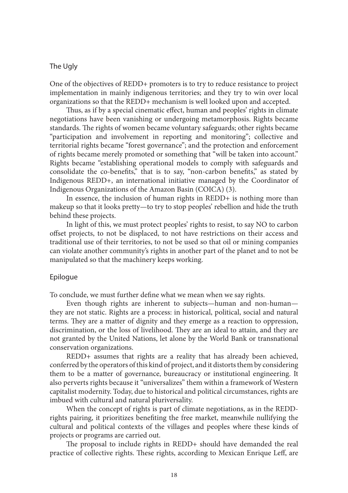#### The Ugly

One of the objectives of REDD+ promoters is to try to reduce resistance to project implementation in mainly indigenous territories; and they try to win over local organizations so that the REDD+ mechanism is well looked upon and accepted.

Thus, as if by a special cinematic effect, human and peoples' rights in climate negotiations have been vanishing or undergoing metamorphosis. Rights became standards. The rights of women became voluntary safeguards; other rights became "participation and involvement in reporting and monitoring"; collective and territorial rights became "forest governance"; and the protection and enforcement of rights became merely promoted or something that "will be taken into account." Rights became "establishing operational models to comply with safeguards and consolidate the co-benefits," that is to say, "non-carbon benefits," as stated by Indigenous REDD+, an international initiative managed by the Coordinator of Indigenous Organizations of the Amazon Basin (COICA) (3).

In essence, the inclusion of human rights in REDD+ is nothing more than makeup so that it looks pretty—to try to stop peoples' rebellion and hide the truth behind these projects.

In light of this, we must protect peoples' rights to resist, to say NO to carbon offset projects, to not be displaced, to not have restrictions on their access and traditional use of their territories, to not be used so that oil or mining companies can violate another community's rights in another part of the planet and to not be manipulated so that the machinery keeps working.

#### Epilogue

To conclude, we must further define what we mean when we say rights.

Even though rights are inherent to subjects—human and non-human they are not static. Rights are a process: in historical, political, social and natural terms. They are a matter of dignity and they emerge as a reaction to oppression, discrimination, or the loss of livelihood. They are an ideal to attain, and they are not granted by the United Nations, let alone by the World Bank or transnational conservation organizations.

REDD+ assumes that rights are a reality that has already been achieved, conferred by the operators of this kind of project, and it distorts them by considering them to be a matter of governance, bureaucracy or institutional engineering. It also perverts rights because it "universalizes" them within a framework of Western capitalist modernity. Today, due to historical and political circumstances, rights are imbued with cultural and natural pluriversality.

When the concept of rights is part of climate negotiations, as in the REDDrights pairing, it prioritizes benefiting the free market, meanwhile nullifying the cultural and political contexts of the villages and peoples where these kinds of projects or programs are carried out.

The proposal to include rights in REDD+ should have demanded the real practice of collective rights. These rights, according to Mexican Enrique Leff, are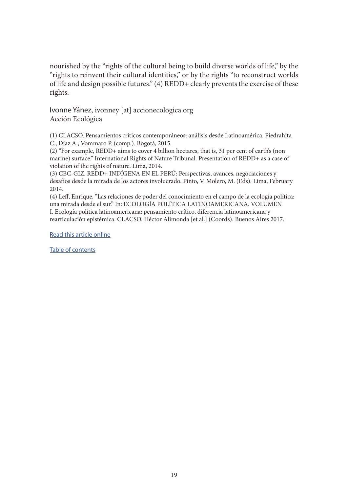nourished by the "rights of the cultural being to build diverse worlds of life," by the "rights to reinvent their cultural identities," or by the rights "to reconstruct worlds of life and design possible futures." (4) REDD+ clearly prevents the exercise of these rights.

Ivonne Yánez, ivonney [at] accionecologica.org Acción Ecológica

(1) CLACSO. Pensamientos críticos contemporáneos: análisis desde Latinoamérica. Piedrahita C., Díaz A., Vommaro P. (comp.). Bogotá, 2015.

(2) "For example, REDD+ aims to cover 4 billion hectares, that is, 31 per cent of earth's (non marine) surface." International Rights of Nature Tribunal. Presentation of REDD+ as a case of violation of the rights of nature. Lima, 2014.

(3) CBC-GIZ. REDD+ INDÍGENA EN EL PERÚ: Perspectivas, avances, negociaciones y desafíos desde la mirada de los actores involucrado. Pinto, V. Molero, M. (Eds). Lima, February 2014.

(4) Leff, Enrique. "Las relaciones de poder del conocimiento en el campo de la ecología política: una mirada desde el sur." In: ECOLOGÍA POLÍTICA LATINOAMERICANA. VOLUMEN I. Ecología política latinoamericana: pensamiento crítico, diferencia latinoamericana y rearticulación epistémica. CLACSO. Héctor Alimonda [et al.] (Coords). Buenos Aires 2017.

[Read this article online](https://wrm.org.uy/articles-from-the-wrm-bulletin/redd-and-rights-the-good-the-bad-and-the-ugly/)

[Table of contents](#page-2-0)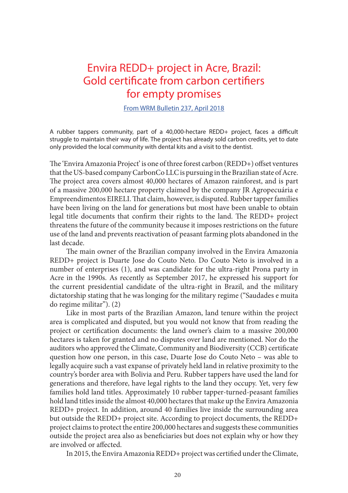### <span id="page-19-0"></span>Envira REDD+ project in Acre, Brazil: Gold certificate from carbon certifiers for empty promises

[From WRM Bulletin 237, April 2018](https://wrm.org.uy/bulletins/issue-237/)

A rubber tappers community, part of a 40,000-hectare REDD+ project, faces a difficult struggle to maintain their way of life. The project has already sold carbon credits, yet to date only provided the local community with dental kits and a visit to the dentist.

The 'Envira Amazonia Project' is one of three forest carbon (REDD+) offset ventures that the US-based company CarbonCo LLC is pursuing in the Brazilian state of Acre. The project area covers almost 40,000 hectares of Amazon rainforest, and is part of a massive 200,000 hectare property claimed by the company JR Agropecuária e Empreendimentos EIRELI. That claim, however, is disputed. Rubber tapper families have been living on the land for generations but most have been unable to obtain legal title documents that confirm their rights to the land. The REDD+ project threatens the future of the community because it imposes restrictions on the future use of the land and prevents reactivation of peasant farming plots abandoned in the last decade.

The main owner of the Brazilian company involved in the Envira Amazonia REDD+ project is Duarte Jose do Couto Neto. Do Couto Neto is involved in a number of enterprises (1), and was candidate for the ultra-right Prona party in Acre in the 1990s. As recently as September 2017, he expressed his support for the current presidential candidate of the ultra-right in Brazil, and the military dictatorship stating that he was longing for the military regime ("Saudades e muita do regime militar"). (2)

Like in most parts of the Brazilian Amazon, land tenure within the project area is complicated and disputed, but you would not know that from reading the project or certification documents: the land owner's claim to a massive 200,000 hectares is taken for granted and no disputes over land are mentioned. Nor do the auditors who approved the Climate, Community and Biodiversity (CCB) certificate question how one person, in this case, Duarte Jose do Couto Neto – was able to legally acquire such a vast expanse of privately held land in relative proximity to the country's border area with Bolivia and Peru. Rubber tappers have used the land for generations and therefore, have legal rights to the land they occupy. Yet, very few families hold land titles. Approximately 10 rubber tapper-turned-peasant families hold land titles inside the almost 40,000 hectares that make up the Envira Amazonia REDD+ project. In addition, around 40 families live inside the surrounding area but outside the REDD+ project site. According to project documents, the REDD+ project claims to protect the entire 200,000 hectares and suggests these communities outside the project area also as beneficiaries but does not explain why or how they are involved or affected.

In 2015, the Envira Amazonia REDD+ project was certified under the Climate,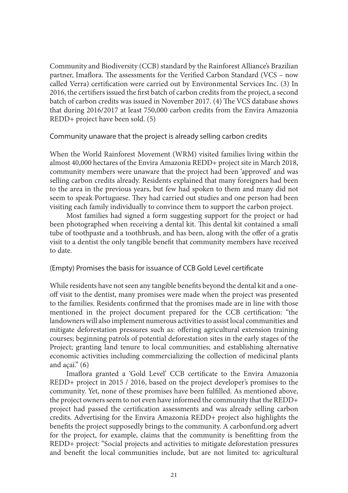Community and Biodiversity (CCB) standard by the Rainforest Alliance's Brazilian partner, Imaflora. The assessments for the Verified Carbon Standard (VCS – now called Verra) certification were carried out by Environmental Services Inc. (3) In 2016, the certifiers issued the first batch of carbon credits from the project, a second batch of carbon credits was issued in November 2017. (4) The VCS database shows that during 2016/2017 at least 750,000 carbon credits from the Envira Amazonia REDD+ project have been sold. (5)

Community unaware that the project is already selling carbon credits

When the World Rainforest Movement (WRM) visited families living within the almost 40,000 hectares of the Envira Amazonia REDD+ project site in March 2018, community members were unaware that the project had been 'approved' and was selling carbon credits already. Residents explained that many foreigners had been to the area in the previous years, but few had spoken to them and many did not seem to speak Portuguese. They had carried out studies and one person had been visiting each family individually to convince them to support the carbon project.

Most families had signed a form suggesting support for the project or had been photographed when receiving a dental kit. This dental kit contained a small tube of toothpaste and a toothbrush, and has been, along with the offer of a gratis visit to a dentist the only tangible benefit that community members have received to date.

(Empty) Promises the basis for issuance of CCB Gold Level certificate

While residents have not seen any tangible benefits beyond the dental kit and a oneoff visit to the dentist, many promises were made when the project was presented to the families. Residents confirmed that the promises made are in line with those mentioned in the project document prepared for the CCB certification: "the landowners will also implement numerous activities to assist local communities and mitigate deforestation pressures such as: offering agricultural extension training courses; beginning patrols of potential deforestation sites in the early stages of the Project; granting land tenure to local communities; and establishing alternative economic activities including commercializing the collection of medicinal plants and  $acai.$ "  $(6)$ 

Imaflora granted a 'Gold Level' CCB certificate to the Envira Amazonia REDD+ project in 2015 / 2016, based on the project developer's promises to the community. Yet, none of these promises have been fulfilled. As mentioned above, the project owners seem to not even have informed the community that the REDD+ project had passed the certification assessments and was already selling carbon credits. Advertising for the Envira Amazonia REDD+ project also highlights the benefits the project supposedly brings to the community. A carbonfund.org advert for the project, for example, claims that the community is benefitting from the REDD+ project: "Social projects and activities to mitigate deforestation pressures and benefit the local communities include, but are not limited to: agricultural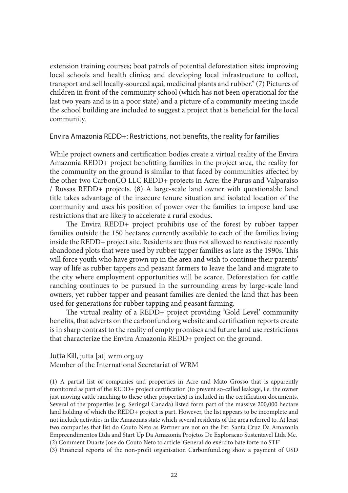extension training courses; boat patrols of potential deforestation sites; improving local schools and health clinics; and developing local infrastructure to collect, transport and sell locally-sourced açaí, medicinal plants and rubber." (7) Pictures of children in front of the community school (which has not been operational for the last two years and is in a poor state) and a picture of a community meeting inside the school building are included to suggest a project that is beneficial for the local community.

#### Envira Amazonia REDD+: Restrictions, not benefits, the reality for families

While project owners and certification bodies create a virtual reality of the Envira Amazonia REDD+ project benefitting families in the project area, the reality for the community on the ground is similar to that faced by communities affected by the other two CarbonCO LLC REDD+ projects in Acre: the Purus and Valparaiso / Russas REDD+ projects. (8) A large-scale land owner with questionable land title takes advantage of the insecure tenure situation and isolated location of the community and uses his position of power over the families to impose land use restrictions that are likely to accelerate a rural exodus.

The Envira REDD+ project prohibits use of the forest by rubber tapper families outside the 150 hectares currently available to each of the families living inside the REDD+ project site. Residents are thus not allowed to reactivate recently abandoned plots that were used by rubber tapper families as late as the 1990s. This will force youth who have grown up in the area and wish to continue their parents' way of life as rubber tappers and peasant farmers to leave the land and migrate to the city where employment opportunities will be scarce. Deforestation for cattle ranching continues to be pursued in the surrounding areas by large-scale land owners, yet rubber tapper and peasant families are denied the land that has been used for generations for rubber tapping and peasant farming.

The virtual reality of a REDD+ project providing 'Gold Level' community benefits, that adverts on the carbonfund.org website and certification reports create is in sharp contrast to the reality of empty promises and future land use restrictions that characterize the Envira Amazonia REDD+ project on the ground.

Jutta Kill, jutta [at] wrm.org.uy Member of the International Secretariat of WRM

(1) A partial list of companies and properties in Acre and Mato Grosso that is apparently monitored as part of the REDD+ project certification (to prevent so-called leakage, i.e. the owner just moving cattle ranching to these other properties) is included in the certification documents. Several of the properties (e.g. Seringal Canada) listed form part of the massive 200,000 hectare land holding of which the REDD+ project is part. However, the list appears to be incomplete and not include activities in the Amazonas state which several residents of the area referred to. At least two companies that list do Couto Neto as Partner are not on the list: Santa Cruz Da Amazonia Empreendimentos Ltda and Start Up Da Amazonia Projetos De Exploracao Sustentavel Ltda Me. (2) Comment Duarte Jose do Couto Neto to article 'General do exército bate forte no STF'

(3) Financial reports of the non-profit organisation Carbonfund.org show a payment of USD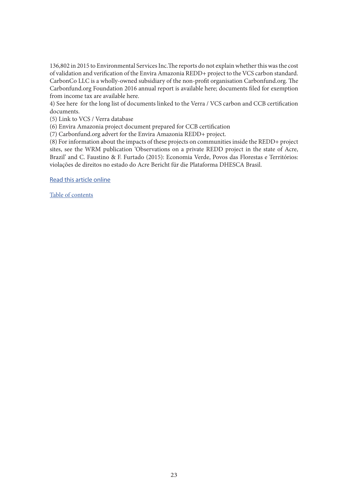136,802 in 2015 to Environmental Services Inc.The reports do not explain whether this was the cost of validation and verification of the Envira Amazonia REDD+ project to the VCS carbon standard. CarbonCo LLC is a wholly-owned subsidiary of the non-profit organisation Carbonfund.org. The Carbonfund.org Foundation 2016 annual report is available here; documents filed for exemption from income tax are available here.

4) See here for the long list of documents linked to the Verra / VCS carbon and CCB certification documents.

(5) Link to VCS / Verra database

(6) Envira Amazonia project document prepared for CCB certification

(7) Carbonfund.org advert for the Envira Amazonia REDD+ project.

(8) For information about the impacts of these projects on communities inside the REDD+ project sites, see the WRM publication 'Observations on a private REDD project in the state of Acre, Brazil' and C. Faustino & F. Furtado (2015): Economia Verde, Povos das Florestas e Territórios: violações de direitos no estado do Acre Bericht für die Plataforma DHESCA Brasil.

[Read this article online](https://wrm.org.uy/articles-from-the-wrm-bulletin/section1/envira-redd-project-in-acre-brazil-gold-certificate-from-carbon-certifiers-for-empty-promises/)

[Table of contents](#page-2-0)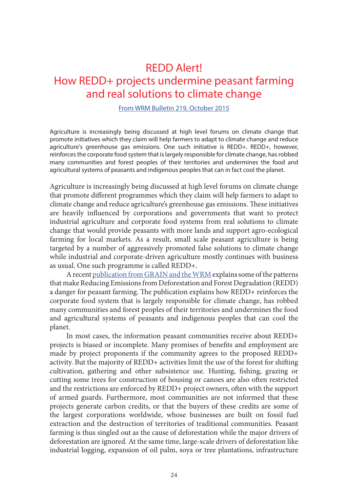### <span id="page-23-0"></span>REDD Alert! How REDD+ projects undermine peasant farming and real solutions to climate change

#### [From WRM Bulletin 219, October 2015](https://wrm.org.uy/bulletins/issue-219/)

Agriculture is increasingly being discussed at high level forums on climate change that promote initiatives which they claim will help farmers to adapt to climate change and reduce agriculture's greenhouse gas emissions. One such initiative is REDD+. REDD+, however, reinforces the corporate food system that is largely responsible for climate change, has robbed many communities and forest peoples of their territories and undermines the food and agricultural systems of peasants and indigenous peoples that can in fact cool the planet.

Agriculture is increasingly being discussed at high level forums on climate change that promote different programmes which they claim will help farmers to adapt to climate change and reduce agriculture's greenhouse gas emissions. These initiatives are heavily influenced by corporations and governments that want to protect industrial agriculture and corporate food systems from real solutions to climate change that would provide peasants with more lands and support agro-ecological farming for local markets. As a result, small scale peasant agriculture is being targeted by a number of aggressively promoted false solutions to climate change while industrial and corporate-driven agriculture mostly continues with business as usual. One such programme is called REDD+.

A recent [publication from GRAIN and the WRM](https://wrm.org.uy/books-and-briefings/how-redd-projects-undermine-peasant-farming-and-real-solutions-to-climate-change/) explains some of the patterns that make Reducing Emissions from Deforestation and Forest Degradation (REDD) a danger for peasant farming. The publication explains how REDD+ reinforces the corporate food system that is largely responsible for climate change, has robbed many communities and forest peoples of their territories and undermines the food and agricultural systems of peasants and indigenous peoples that can cool the planet.

In most cases, the information peasant communities receive about REDD+ projects is biased or incomplete. Many promises of benefits and employment are made by project proponents if the community agrees to the proposed REDD+ activity. But the majority of REDD+ activities limit the use of the forest for shifting cultivation, gathering and other subsistence use. Hunting, fishing, grazing or cutting some trees for construction of housing or canoes are also often restricted and the restrictions are enforced by REDD+ project owners, often with the support of armed guards. Furthermore, most communities are not informed that these projects generate carbon credits, or that the buyers of these credits are some of the largest corporations worldwide, whose businesses are built on fossil fuel extraction and the destruction of territories of traditional communities. Peasant farming is thus singled out as the cause of deforestation while the major drivers of deforestation are ignored. At the same time, large-scale drivers of deforestation like industrial logging, expansion of oil palm, soya or tree plantations, infrastructure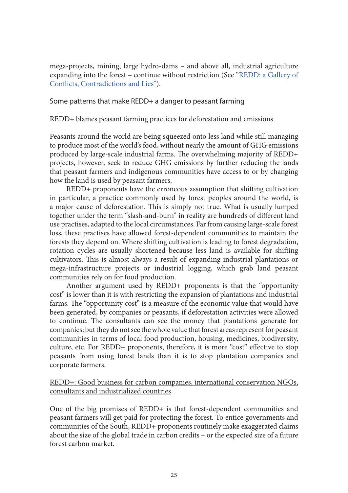mega-projects, mining, large hydro-dams – and above all, industrial agriculture expanding into the forest – continue without restriction (See "[REDD: a Gallery of](https://wrm.org.uy/articles-from-the-wrm-bulletin/section2/redd-a-gallery-of-conflicts-contradictions-and-lies-2/) [Conflicts, Contradictions and Lies"\)](https://wrm.org.uy/articles-from-the-wrm-bulletin/section2/redd-a-gallery-of-conflicts-contradictions-and-lies-2/).

#### Some patterns that make REDD+ a danger to peasant farming

#### REDD+ blames peasant farming practices for deforestation and emissions

Peasants around the world are being squeezed onto less land while still managing to produce most of the world's food, without nearly the amount of GHG emissions produced by large-scale industrial farms. The overwhelming majority of REDD+ projects, however, seek to reduce GHG emissions by further reducing the lands that peasant farmers and indigenous communities have access to or by changing how the land is used by peasant farmers.

REDD+ proponents have the erroneous assumption that shifting cultivation in particular, a practice commonly used by forest peoples around the world, is a major cause of deforestation. This is simply not true. What is usually lumped together under the term "slash-and-burn" in reality are hundreds of different land use practises, adapted to the local circumstances. Far from causing large-scale forest loss, these practises have allowed forest-dependent communities to maintain the forests they depend on. Where shifting cultivation is leading to forest degradation, rotation cycles are usually shortened because less land is available for shifting cultivators. This is almost always a result of expanding industrial plantations or mega-infrastructure projects or industrial logging, which grab land peasant communities rely on for food production.

Another argument used by REDD+ proponents is that the "opportunity cost" is lower than it is with restricting the expansion of plantations and industrial farms. The "opportunity cost" is a measure of the economic value that would have been generated, by companies or peasants, if deforestation activities were allowed to continue. The consultants can see the money that plantations generate for companies; but they do not see the whole value that forest areas represent for peasant communities in terms of local food production, housing, medicines, biodiversity, culture, etc. For REDD+ proponents, therefore, it is more "cost" effective to stop peasants from using forest lands than it is to stop plantation companies and corporate farmers.

REDD+: Good business for carbon companies, international conservation NGOs, consultants and industrialized countries

One of the big promises of REDD+ is that forest-dependent communities and peasant farmers will get paid for protecting the forest. To entice governments and communities of the South, REDD+ proponents routinely make exaggerated claims about the size of the global trade in carbon credits – or the expected size of a future forest carbon market.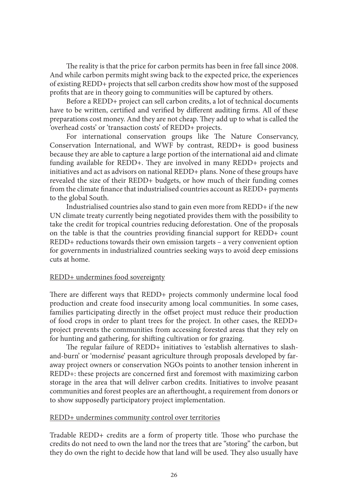The reality is that the price for carbon permits has been in free fall since 2008. And while carbon permits might swing back to the expected price, the experiences of existing REDD+ projects that sell carbon credits show how most of the supposed profits that are in theory going to communities will be captured by others.

Before a REDD+ project can sell carbon credits, a lot of technical documents have to be written, certified and verified by different auditing firms. All of these preparations cost money. And they are not cheap. They add up to what is called the 'overhead costs' or 'transaction costs' of REDD+ projects.

For international conservation groups like The Nature Conservancy, Conservation International, and WWF by contrast, REDD+ is good business because they are able to capture a large portion of the international aid and climate funding available for REDD+. They are involved in many REDD+ projects and initiatives and act as advisors on national REDD+ plans. None of these groups have revealed the size of their REDD+ budgets, or how much of their funding comes from the climate finance that industrialised countries account as REDD+ payments to the global South.

Industrialised countries also stand to gain even more from REDD+ if the new UN climate treaty currently being negotiated provides them with the possibility to take the credit for tropical countries reducing deforestation. One of the proposals on the table is that the countries providing financial support for REDD+ count REDD+ reductions towards their own emission targets – a very convenient option for governments in industrialized countries seeking ways to avoid deep emissions cuts at home.

#### REDD+ undermines food sovereignty

There are different ways that REDD+ projects commonly undermine local food production and create food insecurity among local communities. In some cases, families participating directly in the offset project must reduce their production of food crops in order to plant trees for the project. In other cases, the REDD+ project prevents the communities from accessing forested areas that they rely on for hunting and gathering, for shifting cultivation or for grazing.

The regular failure of REDD+ initiatives to 'establish alternatives to slashand-burn' or 'modernise' peasant agriculture through proposals developed by faraway project owners or conservation NGOs points to another tension inherent in REDD+: these projects are concerned first and foremost with maximizing carbon storage in the area that will deliver carbon credits. Initiatives to involve peasant communities and forest peoples are an afterthought, a requirement from donors or to show supposedly participatory project implementation.

#### REDD+ undermines community control over territories

Tradable REDD+ credits are a form of property title. Those who purchase the credits do not need to own the land nor the trees that are "storing" the carbon, but they do own the right to decide how that land will be used. They also usually have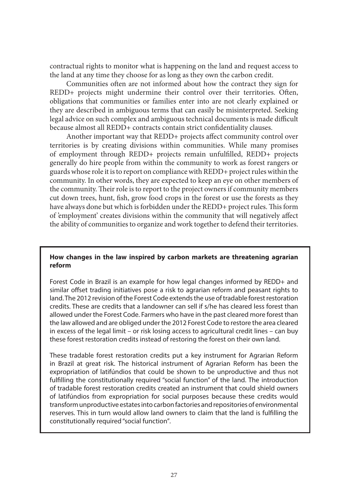contractual rights to monitor what is happening on the land and request access to the land at any time they choose for as long as they own the carbon credit.

Communities often are not informed about how the contract they sign for REDD+ projects might undermine their control over their territories. Often, obligations that communities or families enter into are not clearly explained or they are described in ambiguous terms that can easily be misinterpreted. Seeking legal advice on such complex and ambiguous technical documents is made difficult because almost all REDD+ contracts contain strict confidentiality clauses.

Another important way that REDD+ projects affect community control over territories is by creating divisions within communities. While many promises of employment through REDD+ projects remain unfulfilled, REDD+ projects generally do hire people from within the community to work as forest rangers or guards whose role it is to report on compliance with REDD+ project rules within the community. In other words, they are expected to keep an eye on other members of the community. Their role is to report to the project owners if community members cut down trees, hunt, fish, grow food crops in the forest or use the forests as they have always done but which is forbidden under the REDD+ project rules. This form of 'employment' creates divisions within the community that will negatively affect the ability of communities to organize and work together to defend their territories.

#### **How changes in the law inspired by carbon markets are threatening agrarian reform**

Forest Code in Brazil is an example for how legal changes informed by REDD+ and similar offset trading initiatives pose a risk to agrarian reform and peasant rights to land. The 2012 revision of the Forest Code extends the use of tradable forest restoration credits. These are credits that a landowner can sell if s/he has cleared less forest than allowed under the Forest Code. Farmers who have in the past cleared more forest than the law allowed and are obliged under the 2012 Forest Code to restore the area cleared in excess of the legal limit – or risk losing access to agricultural credit lines – can buy these forest restoration credits instead of restoring the forest on their own land.

These tradable forest restoration credits put a key instrument for Agrarian Reform in Brazil at great risk. The historical instrument of Agrarian Reform has been the expropriation of latifúndios that could be shown to be unproductive and thus not fulfilling the constitutionally required "social function" of the land. The introduction of tradable forest restoration credits created an instrument that could shield owners of latifúndios from expropriation for social purposes because these credits would transform unproductive estates into carbon factories and repositories of environmental reserves. This in turn would allow land owners to claim that the land is fulfilling the constitutionally required "social function"*.*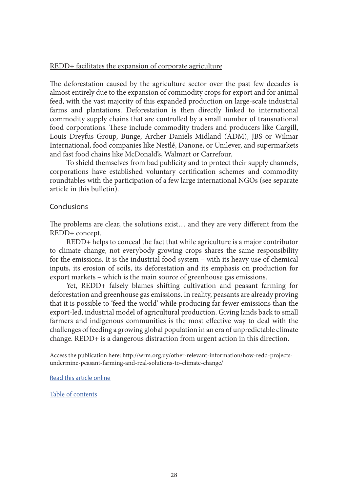#### REDD+ facilitates the expansion of corporate agriculture

The deforestation caused by the agriculture sector over the past few decades is almost entirely due to the expansion of commodity crops for export and for animal feed, with the vast majority of this expanded production on large-scale industrial farms and plantations. Deforestation is then directly linked to international commodity supply chains that are controlled by a small number of transnational food corporations. These include commodity traders and producers like Cargill, Louis Dreyfus Group, Bunge, Archer Daniels Midland (ADM), JBS or Wilmar International, food companies like Nestlé, Danone, or Unilever, and supermarkets and fast food chains like McDonald's, Walmart or Carrefour.

To shield themselves from bad publicity and to protect their supply channels, corporations have established voluntary certification schemes and commodity roundtables with the participation of a few large international NGOs (see separate article in this bulletin).

#### Conclusions

The problems are clear, the solutions exist… and they are very different from the REDD+ concept.

REDD+ helps to conceal the fact that while agriculture is a major contributor to climate change, not everybody growing crops shares the same responsibility for the emissions. It is the industrial food system – with its heavy use of chemical inputs, its erosion of soils, its deforestation and its emphasis on production for export markets – which is the main source of greenhouse gas emissions.

Yet, REDD+ falsely blames shifting cultivation and peasant farming for deforestation and greenhouse gas emissions. In reality, peasants are already proving that it is possible to 'feed the world' while producing far fewer emissions than the export-led, industrial model of agricultural production. Giving lands back to small farmers and indigenous communities is the most effective way to deal with the challenges of feeding a growing global population in an era of unpredictable climate change. REDD+ is a dangerous distraction from urgent action in this direction.

Access the publication here: http://wrm.org.uy/other-relevant-information/how-redd-projectsundermine-peasant-farming-and-real-solutions-to-climate-change/

[Read this article online](https://wrm.org.uy/articles-from-the-wrm-bulletin/section1/redd-alert-how-redd-projects-undermine-peasant-farming-and-real-solutions-to-climate-change/)

[Table of contents](#page-2-0)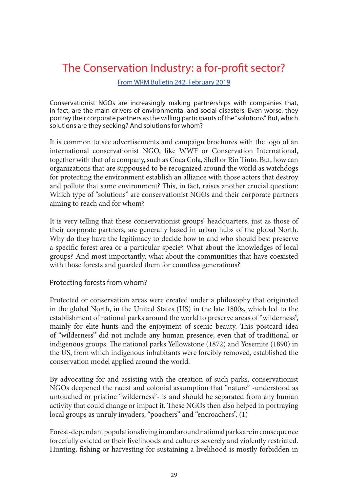### <span id="page-28-0"></span>The Conservation Industry: a for-profit sector?

[From WRM Bulletin 242, February 2019](https://wrm.org.uy/bulletins/issue-242/)

Conservationist NGOs are increasingly making partnerships with companies that, in fact, are the main drivers of environmental and social disasters. Even worse, they portray their corporate partners as the willing participants of the "solutions". But, which solutions are they seeking? And solutions for whom?

It is common to see advertisements and campaign brochures with the logo of an international conservationist NGO, like WWF or Conservation International, together with that of a company, such as Coca Cola, Shell or Rio Tinto. But, how can organizations that are suppoused to be recognized around the world as watchdogs for protecting the environment establish an alliance with those actors that destroy and pollute that same environment? This, in fact, raises another crucial question: Which type of "solutions" are conservationist NGOs and their corporate partners aiming to reach and for whom?

It is very telling that these conservationist groups' headquarters, just as those of their corporate partners, are generally based in urban hubs of the global North. Why do they have the legitimacy to decide how to and who should best preserve a specific forest area or a particular specie? What about the knowledges of local groups? And most importantly, what about the communities that have coexisted with those forests and guarded them for countless generations?

#### Protecting forests from whom?

Protected or conservation areas were created under a philosophy that originated in the global North, in the United States (US) in the late 1800s, which led to the establishment of national parks around the world to preserve areas of "wilderness", mainly for elite hunts and the enjoyment of scenic beauty. This postcard idea of "wilderness" did not include any human presence; even that of traditional or indigenous groups. The national parks Yellowstone (1872) and Yosemite (1890) in the US, from which indigenous inhabitants were forcibly removed, established the conservation model applied around the world.

By advocating for and assisting with the creation of such parks, conservationist NGOs deepened the racist and colonial assumption that "nature" -understood as untouched or pristine "wilderness"- is and should be separated from any human activity that could change or impact it. These NGOs then also helped in portraying local groups as unruly invaders, "poachers" and "encroachers". (1)

Forest-dependant populations living in and around national parks are in consequence forcefully evicted or their livelihoods and cultures severely and violently restricted. Hunting, fishing or harvesting for sustaining a livelihood is mostly forbidden in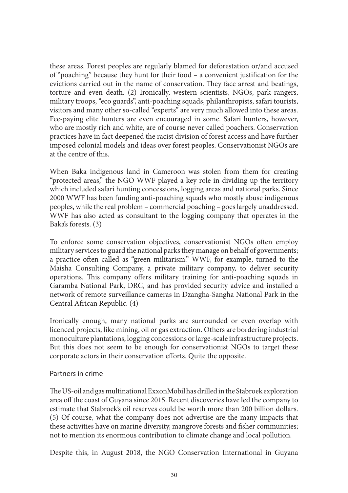these areas. Forest peoples are regularly blamed for deforestation or/and accused of "poaching" because they hunt for their food – a convenient justification for the evictions carried out in the name of conservation. They face arrest and beatings, torture and even death. (2) Ironically, western scientists, NGOs, park rangers, military troops, "eco guards", anti-poaching squads, philanthropists, safari tourists, visitors and many other so-called "experts" are very much allowed into these areas. Fee-paying elite hunters are even encouraged in some. Safari hunters, however, who are mostly rich and white, are of course never called poachers. Conservation practices have in fact deepened the racist division of forest access and have further imposed colonial models and ideas over forest peoples. Conservationist NGOs are at the centre of this.

When Baka indigenous land in Cameroon was stolen from them for creating "protected areas," the NGO WWF played a key role in dividing up the territory which included safari hunting concessions, logging areas and national parks. Since 2000 WWF has been funding anti-poaching squads who mostly abuse indigenous peoples, while the real problem – commercial poaching – goes largely unaddressed. WWF has also acted as consultant to the logging company that operates in the Baka's forests. (3)

To enforce some conservation objectives, conservationist NGOs often employ military services to guard the national parks they manage on behalf of governments; a practice often called as "green militarism." WWF, for example, turned to the Maisha Consulting Company, a private military company, to deliver security operations. This company offers military training for anti-poaching squads in Garamba National Park, DRC, and has provided security advice and installed a network of remote surveillance cameras in Dzangha-Sangha National Park in the Central African Republic. (4)

Ironically enough, many national parks are surrounded or even overlap with licenced projects, like mining, oil or gas extraction. Others are bordering industrial monoculture plantations, logging concessions or large-scale infrastructure projects. But this does not seem to be enough for conservationist NGOs to target these corporate actors in their conservation efforts. Quite the opposite.

#### Partners in crime

The US-oil and gas multinational ExxonMobil has drilled in the Stabroek exploration area off the coast of Guyana since 2015. Recent discoveries have led the company to estimate that Stabroek's oil reserves could be worth more than 200 billion dollars. (5) Of course, what the company does not advertise are the many impacts that these activities have on marine diversity, mangrove forests and fisher communities; not to mention its enormous contribution to climate change and local pollution.

Despite this, in August 2018, the NGO Conservation International in Guyana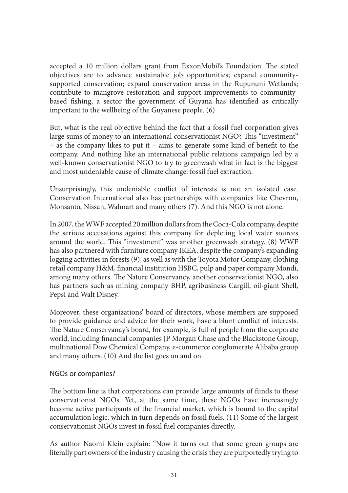accepted a 10 million dollars grant from ExxonMobil's Foundation. The stated objectives are to advance sustainable job opportunities; expand communitysupported conservation; expand conservation areas in the Rupununi Wetlands; contribute to mangrove restoration and support improvements to communitybased fishing, a sector the government of Guyana has identified as critically important to the wellbeing of the Guyanese people. (6)

But, what is the real objective behind the fact that a fossil fuel corporation gives large sums of money to an international conservationist NGO? This "investment" – as the company likes to put it – aims to generate some kind of benefit to the company. And nothing like an international public relations campaign led by a well-known conservationist NGO to try to greenwash what in fact is the biggest and most undeniable cause of climate change: fossil fuel extraction.

Unsurprisingly, this undeniable conflict of interests is not an isolated case. Conservation International also has partnerships with companies like Chevron, Monsanto, Nissan, Walmart and many others (7). And this NGO is not alone.

In 2007, the WWF accepted 20 million dollars from the Coca-Cola company, despite the serious accusations against this company for depleting local water sources around the world. This "investment" was another greenwash strategy. (8) WWF has also partnered with furniture company IKEA, despite the company's expanding logging activities in forests (9), as well as with the Toyota Motor Company, clothing retail company H&M, financial institution HSBC, pulp and paper company Mondi, among many others. The Nature Conservancy, another conservationist NGO, also has partners such as mining company BHP, agribusiness Cargill, oil-giant Shell, Pepsi and Walt Disney.

Moreover, these organizations' board of directors, whose members are supposed to provide guidance and advice for their work, have a blunt conflict of interests. The Nature Conservancy's board, for example, is full of people from the corporate world, including financial companies JP Morgan Chase and the Blackstone Group, multinational Dow Chemical Company, e-commerce conglomerate Alibaba group and many others. (10) And the list goes on and on.

#### NGOs or companies?

The bottom line is that corporations can provide large amounts of funds to these conservationist NGOs. Yet, at the same time, these NGOs have increasingly become active participants of the financial market, which is bound to the capital accumulation logic, which in turn depends on fossil fuels. (11) Some of the largest conservationist NGOs invest in fossil fuel companies directly.

As author Naomi Klein explain: "Now it turns out that some green groups are literally part owners of the industry causing the crisis they are purportedly trying to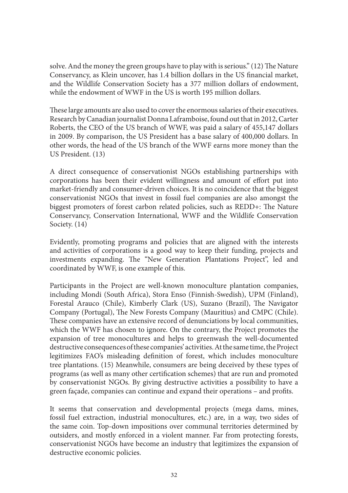solve. And the money the green groups have to play with is serious." (12) The Nature Conservancy, as Klein uncover, has 1.4 billion dollars in the US financial market, and the Wildlife Conservation Society has a 377 million dollars of endowment, while the endowment of WWF in the US is worth 195 million dollars.

These large amounts are also used to cover the enormous salaries of their executives. Research by Canadian journalist Donna Laframboise, found out that in 2012, Carter Roberts, the CEO of the US branch of WWF, was paid a salary of 455,147 dollars in 2009. By comparison, the US President has a base salary of 400,000 dollars. In other words, the head of the US branch of the WWF earns more money than the US President. (13)

A direct consequence of conservationist NGOs establishing partnerships with corporations has been their evident willingness and amount of effort put into market-friendly and consumer-driven choices. It is no coincidence that the biggest conservationist NGOs that invest in fossil fuel companies are also amongst the biggest promoters of forest carbon related policies, such as REDD+: The Nature Conservancy, Conservation International, WWF and the Wildlife Conservation Society.  $(14)$ 

Evidently, promoting programs and policies that are aligned with the interests and activities of corporations is a good way to keep their funding, projects and investments expanding. The "New Generation Plantations Project", led and coordinated by WWF, is one example of this.

Participants in the Project are well-known monoculture plantation companies, including Mondi (South Africa), Stora Enso (Finnish-Swedish), UPM (Finland), Forestal Arauco (Chile), Kimberly Clark (US), Suzano (Brazil), The Navigator Company (Portugal), The New Forests Company (Mauritius) and CMPC (Chile). These companies have an extensive record of denunciations by local communities, which the WWF has chosen to ignore. On the contrary, the Project promotes the expansion of tree monocultures and helps to greenwash the well-documented destructive consequences of these companies' activities. At the same time, the Project legitimizes FAO's misleading definition of forest, which includes monoculture tree plantations. (15) Meanwhile, consumers are being deceived by these types of programs (as well as many other certification schemes) that are run and promoted by conservationist NGOs. By giving destructive activities a possibility to have a green façade, companies can continue and expand their operations – and profits.

It seems that conservation and developmental projects (mega dams, mines, fossil fuel extraction, industrial monocultures, etc.) are, in a way, two sides of the same coin. Top-down impositions over communal territories determined by outsiders, and mostly enforced in a violent manner. Far from protecting forests, conservationist NGOs have become an industry that legitimizes the expansion of destructive economic policies.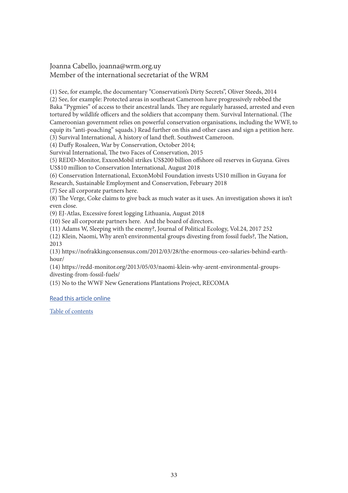#### Joanna Cabello, joanna@wrm.org.uy Member of the international secretariat of the WRM

(1) See, for example, the documentary "Conservation's Dirty Secrets", Oliver Steeds, 2014

(2) See, for example: Protected areas in southeast Cameroon have progressively robbed the Baka "Pygmies" of access to their ancestral lands. They are regularly harassed, arrested and even tortured by wildlife officers and the soldiers that accompany them. Survival International. (The Cameroonian government relies on powerful conservation organisations, including the WWF, to equip its "anti-poaching" squads.) Read further on this and other cases and sign a petition here.

(3) Survival International, A history of land theft. Southwest Cameroon.

(4) Duffy Rosaleen, War by Conservation, October 2014;

Survival International, The two Faces of Conservation, 2015

(5) REDD-Monitor, ExxonMobil strikes US\$200 billion offshore oil reserves in Guyana. Gives US\$10 million to Conservation International, August 2018

(6) Conservation International, ExxonMobil Foundation invests US10 million in Guyana for Research, Sustainable Employment and Conservation, February 2018

(7) See all corporate partners here.

(8) The Verge, Coke claims to give back as much water as it uses. An investigation shows it isn't even close.

(9) EJ-Atlas, Excessive forest logging Lithuania, August 2018

(10) See all corporate partners here. And the board of directors.

(11) Adams W, Sleeping with the enemy?, Journal of Political Ecology, Vol.24, 2017 252

(12) Klein, Naomi, Why aren't environmental groups divesting from fossil fuels?, The Nation, 2013

(13) https://nofrakkingconsensus.com/2012/03/28/the-enormous-ceo-salaries-behind-earthhour/

(14) https://redd-monitor.org/2013/05/03/naomi-klein-why-arent-environmental-groupsdivesting-from-fossil-fuels/

(15) No to the WWF New Generations Plantations Project, RECOMA

#### [Read this article online](https://wrm.org.uy/articles-from-the-wrm-bulletin/section1/the-conservation-industry-a-for-profit-sector/)

[Table of contents](#page-2-0)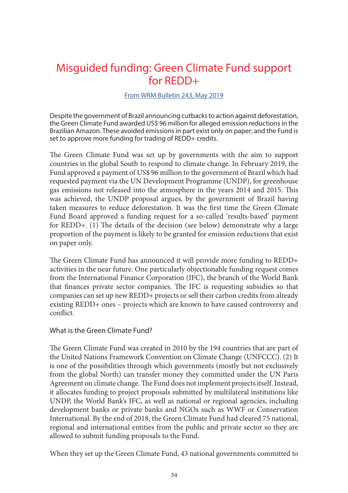### <span id="page-33-0"></span>Misguided funding: Green Climate Fund support for REDD+

#### [From WRM Bulletin 243, May 2019](https://wrm.org.uy/bulletins/issue-243/)

Despite the government of Brazil announcing cutbacks to action against deforestation, the Green Climate Fund awarded US\$ 96 million for alleged emission reductions in the Brazilian Amazon. These avoided emissions in part exist only on paper; and the Fund is set to approve more funding for trading of REDD+ credits.

The Green Climate Fund was set up by governments with the aim to support countries in the global South to respond to climate change. In February 2019, the Fund approved a payment of US\$ 96 million to the government of Brazil which had requested payment via the UN Development Programme (UNDP), for greenhouse gas emissions not released into the atmosphere in the years 2014 and 2015. This was achieved, the UNDP proposal argues, by the government of Brazil having taken measures to reduce deforestation. It was the first time the Green Climate Fund Board approved a funding request for a so-called 'results-based' payment for REDD+. (1) The details of the decision (see below) demonstrate why a large proportion of the payment is likely to be granted for emission reductions that exist on paper only.

The Green Climate Fund has announced it will provide more funding to REDD+ activities in the near future. One particularly objectionable funding request comes from the International Finance Corporation (IFC), the branch of the World Bank that finances private sector companies. The IFC is requesting subsidies so that companies can set up new REDD+ projects or sell their carbon credits from already existing REDD+ ones – projects which are known to have caused controversy and conflict.

#### What is the Green Climate Fund?

The Green Climate Fund was created in 2010 by the 194 countries that are part of the United Nations Framework Convention on Climate Change (UNFCCC). (2) It is one of the possibilities through which governments (mostly but not exclusively from the global North) can transfer money they committed under the UN Paris Agreement on climate change. The Fund does not implement projects itself. Instead, it allocates funding to project proposals submitted by multilateral institutions like UNDP, the World Bank's IFC, as well as national or regional agencies, including development banks or private banks and NGOs such as WWF or Conservation International. By the end of 2018, the Green Climate Fund had cleared 75 national, regional and international entities from the public and private sector so they are allowed to submit funding proposals to the Fund.

When they set up the Green Climate Fund, 43 national governments committed to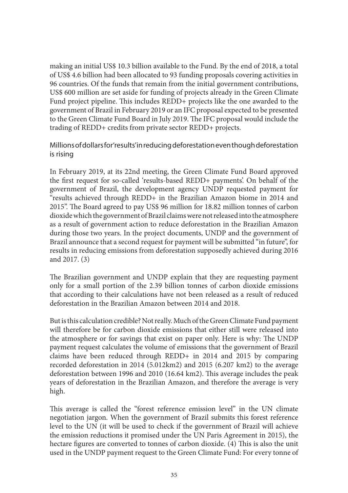making an initial US\$ 10.3 billion available to the Fund. By the end of 2018, a total of US\$ 4.6 billion had been allocated to 93 funding proposals covering activities in 96 countries. Of the funds that remain from the initial government contributions, US\$ 600 million are set aside for funding of projects already in the Green Climate Fund project pipeline. This includes REDD+ projects like the one awarded to the government of Brazil in February 2019 or an IFC proposal expected to be presented to the Green Climate Fund Board in July 2019. The IFC proposal would include the trading of REDD+ credits from private sector REDD+ projects.

Millions of dollars for 'results' in reducing deforestation even though deforestation is rising

In February 2019, at its 22nd meeting, the Green Climate Fund Board approved the first request for so-called 'results-based REDD+ payments'. On behalf of the government of Brazil, the development agency UNDP requested payment for "results achieved through REDD+ in the Brazilian Amazon biome in 2014 and 2015". The Board agreed to pay US\$ 96 million for 18.82 million tonnes of carbon dioxide which the government of Brazil claims were not released into the atmosphere as a result of government action to reduce deforestation in the Brazilian Amazon during those two years. In the project documents, UNDP and the government of Brazil announce that a second request for payment will be submitted "in future", for results in reducing emissions from deforestation supposedly achieved during 2016 and 2017. (3)

The Brazilian government and UNDP explain that they are requesting payment only for a small portion of the 2.39 billion tonnes of carbon dioxide emissions that according to their calculations have not been released as a result of reduced deforestation in the Brazilian Amazon between 2014 and 2018.

But is this calculation credible? Not really. Much of the Green Climate Fund payment will therefore be for carbon dioxide emissions that either still were released into the atmosphere or for savings that exist on paper only. Here is why: The UNDP payment request calculates the volume of emissions that the government of Brazil claims have been reduced through REDD+ in 2014 and 2015 by comparing recorded deforestation in 2014 (5.012km2) and 2015 (6.207 km2) to the average deforestation between 1996 and 2010 (16.64 km2). This average includes the peak years of deforestation in the Brazilian Amazon, and therefore the average is very high.

This average is called the "forest reference emission level" in the UN climate negotiation jargon. When the government of Brazil submits this forest reference level to the UN (it will be used to check if the government of Brazil will achieve the emission reductions it promised under the UN Paris Agreement in 2015), the hectare figures are converted to tonnes of carbon dioxide. (4) This is also the unit used in the UNDP payment request to the Green Climate Fund: For every tonne of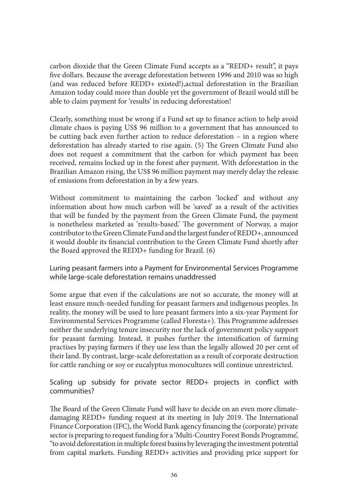carbon dioxide that the Green Climate Fund accepts as a "REDD+ result", it pays five dollars. Because the average deforestation between 1996 and 2010 was so high (and was reduced before REDD+ existed!),actual deforestation in the Brazilian Amazon today could more than double yet the government of Brazil would still be able to claim payment for 'results' in reducing deforestation!

Clearly, something must be wrong if a Fund set up to finance action to help avoid climate chaos is paying US\$ 96 million to a government that has announced to be cutting back even further action to reduce deforestation – in a region where deforestation has already started to rise again. (5) The Green Climate Fund also does not request a commitment that the carbon for which payment has been received, remains locked up in the forest after payment. With deforestation in the Brazilian Amazon rising, the US\$ 96 million payment may merely delay the release of emissions from deforestation in by a few years.

Without commitment to maintaining the carbon 'locked' and without any information about how much carbon will be 'saved' as a result of the activities that will be funded by the payment from the Green Climate Fund, the payment is nonetheless marketed as 'results-based.' The government of Norway, a major contributor to the Green Climate Fund and the largest funder of REDD+, announced it would double its financial contribution to the Green Climate Fund shortly after the Board approved the REDD+ funding for Brazil. (6)

Luring peasant farmers into a Payment for Environmental Services Programme while large-scale deforestation remains unaddressed

Some argue that even if the calculations are not so accurate, the money will at least ensure much-needed funding for peasant farmers and indigenous peoples. In reality, the money will be used to lure peasant farmers into a six-year Payment for Environmental Services Programme (called Floresta+). This Programme addresses neither the underlying tenure insecurity nor the lack of government policy support for peasant farming. Instead, it pushes further the intensification of farming practises by paying farmers if they use less than the legally allowed 20 per cent of their land. By contrast, large-scale deforestation as a result of corporate destruction for cattle ranching or soy or eucalyptus monocultures will continue unrestricted.

Scaling up subsidy for private sector REDD+ projects in conflict with communities?

The Board of the Green Climate Fund will have to decide on an even more climatedamaging REDD+ funding request at its meeting in July 2019. The International Finance Corporation (IFC), the World Bank agency financing the (corporate) private sector is preparing to request funding for a 'Multi-Country Forest Bonds Programme', "to avoid deforestation in multiple forest basins by leveraging the investment potential from capital markets. Funding REDD+ activities and providing price support for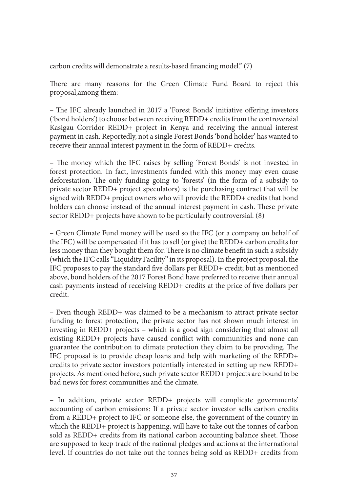carbon credits will demonstrate a results-based financing model." (7)

There are many reasons for the Green Climate Fund Board to reject this proposal,among them:

– The IFC already launched in 2017 a 'Forest Bonds' initiative offering investors ('bond holders') to choose between receiving REDD+ credits from the controversial Kasigau Corridor REDD+ project in Kenya and receiving the annual interest payment in cash. Reportedly, not a single Forest Bonds 'bond holder' has wanted to receive their annual interest payment in the form of REDD+ credits.

– The money which the IFC raises by selling 'Forest Bonds' is not invested in forest protection. In fact, investments funded with this money may even cause deforestation. The only funding going to 'forests' (in the form of a subsidy to private sector REDD+ project speculators) is the purchasing contract that will be signed with REDD+ project owners who will provide the REDD+ credits that bond holders can choose instead of the annual interest payment in cash. These private sector REDD+ projects have shown to be particularly controversial. (8)

– Green Climate Fund money will be used so the IFC (or a company on behalf of the IFC) will be compensated if it has to sell (or give) the REDD+ carbon credits for less money than they bought them for. There is no climate benefit in such a subsidy (which the IFC calls "Liquidity Facility" in its proposal). In the project proposal, the IFC proposes to pay the standard five dollars per REDD+ credit; but as mentioned above, bond holders of the 2017 Forest Bond have preferred to receive their annual cash payments instead of receiving REDD+ credits at the price of five dollars per credit.

– Even though REDD+ was claimed to be a mechanism to attract private sector funding to forest protection, the private sector has not shown much interest in investing in REDD+ projects – which is a good sign considering that almost all existing REDD+ projects have caused conflict with communities and none can guarantee the contribution to climate protection they claim to be providing. The IFC proposal is to provide cheap loans and help with marketing of the REDD+ credits to private sector investors potentially interested in setting up new REDD+ projects. As mentioned before, such private sector REDD+ projects are bound to be bad news for forest communities and the climate.

– In addition, private sector REDD+ projects will complicate governments' accounting of carbon emissions: If a private sector investor sells carbon credits from a REDD+ project to IFC or someone else, the government of the country in which the REDD+ project is happening, will have to take out the tonnes of carbon sold as REDD+ credits from its national carbon accounting balance sheet. Those are supposed to keep track of the national pledges and actions at the international level. If countries do not take out the tonnes being sold as REDD+ credits from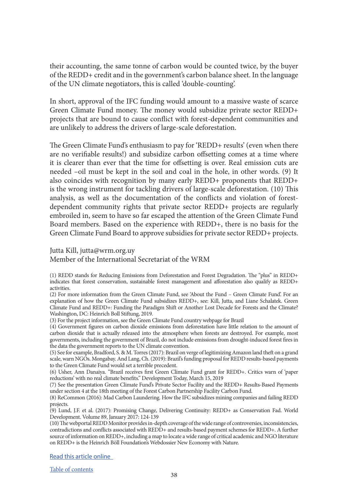their accounting, the same tonne of carbon would be counted twice, by the buyer of the REDD+ credit and in the government's carbon balance sheet. In the language of the UN climate negotiators, this is called 'double-counting'.

In short, approval of the IFC funding would amount to a massive waste of scarce Green Climate Fund money. The money would subsidize private sector REDD+ projects that are bound to cause conflict with forest-dependent communities and are unlikely to address the drivers of large-scale deforestation.

The Green Climate Fund's enthusiasm to pay for 'REDD+ results' (even when there are no verifiable results!) and subsidize carbon offsetting comes at a time where it is clearer than ever that the time for offsetting is over. Real emission cuts are needed –oil must be kept in the soil and coal in the hole, in other words. (9) It also coincides with recognition by many early REDD+ proponents that REDD+ is the wrong instrument for tackling drivers of large-scale deforestation. (10) This analysis, as well as the documentation of the conflicts and violation of forestdependent community rights that private sector REDD+ projects are regularly embroiled in, seem to have so far escaped the attention of the Green Climate Fund Board members. Based on the experience with REDD+, there is no basis for the Green Climate Fund Board to approve subsidies for private sector REDD+ projects.

Jutta Kill, jutta@wrm.org.uy

Member of the International Secretariat of the WRM

(1) REDD stands for Reducing Emissions from Deforestation and Forest Degradation. The "plus" in REDD+ indicates that forest conservation, sustainable forest management and afforestation also qualify as REDD+ activities.

(2) For more information from the Green Climate Fund, see 'About the Fund – Green Climate Fund'. For an explanation of how the Green Climate Fund subsidizes REDD+, see: Kill, Jutta, and Liane Schalatek. Green Climate Fund and REDD+: Funding the Paradigm Shift or Another Lost Decade for Forests and the Climate? Washington, DC: Heinrich Boll Stiftung, 2019.

(3) For the project information, see the Green Climate Fund country webpage for Brazil

(4) Government figures on carbon dioxide emissions from deforestation have little relation to the amount of carbon dioxide that is actually released into the atmosphere when forests are destroyed. For example, most governments, including the government of Brazil, do not include emissions from drought-induced forest fires in the data the government reports to the UN climate convention.

(5) See for example, Bradford, S. & M. Torres (2017): Brazil on verge of legitimizing Amazon land theft on a grand scale, warn NGOs. Mongabay. And Lang, Ch. (2019): Brazil's funding proposal for REDD results-based payments to the Green Climate Fund would set a terrible precedent.

(6) Usher, Ann Danaiya. "Brazil receives first Green Climate Fund grant for REDD+. Critics warn of 'paper reductions' with no real climate benefits." Development Today, March 15, 2019

(7) See the presentation Green Climate Fund's Private Sector Facility and the REDD+ Results-Based Payments under section 4 at the 18th meeting of the Forest Carbon Partnership Facility Carbon Fund.

(8) ReCommon (2016): Mad Carbon Laundering. How the IFC subsidizes mining companies and failing REDD projects.

(9) Lund, J.F. et al. (2017): Promising Change, Delivering Continuity: REDD+ as Conservation Fad. World Development. Volume 89, January 2017: 124-139

(10) The webportal REDD Monitor provides in-depth coverage of the wide range of controversies, inconsistencies, contradictions and conflicts associated with REDD+ and results-based payment schemes for REDD+. A further source of information on REDD+, including a map to locate a wide range of critical academic and NGO literature on REDD+ is the Heinrich Böll Foundation's Webdossier New Economy with Nature.

[Read this article online](https://wrm.org.uy/articles-from-the-wrm-bulletin/section1/misguided-funding-green-climate-fund-support-for-redd/)

[Table of contents](#page-2-0)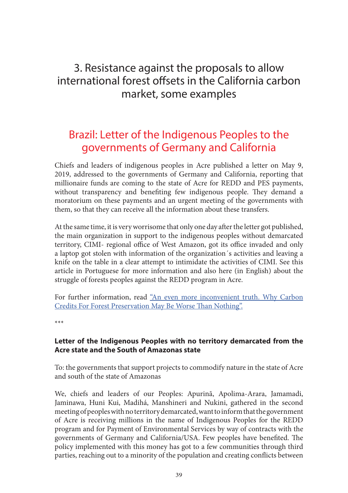### <span id="page-38-0"></span>3. Resistance against the proposals to allow international forest offsets in the California carbon market, some examples

### Brazil: Letter of the Indigenous Peoples to the governments of Germany and California

Chiefs and leaders of indigenous peoples in Acre published a letter on May 9, 2019, addressed to the governments of Germany and California, reporting that millionaire funds are coming to the state of Acre for REDD and PES payments, without transparency and benefiting few indigenous people. They demand a moratorium on these payments and an urgent meeting of the governments with them, so that they can receive all the information about these transfers.

At the same time, it is very worrisome that only one day after the letter got published, the main organization in support to the indigenous peoples without demarcated territory, CIMI- regional office of West Amazon, got its office invaded and only a laptop got stolen with information of the organization´s activities and leaving a knife on the table in a clear attempt to intimidate the activities of CIMI. See this article in Portuguese for more information and also here (in English) about the struggle of forests peoples against the REDD program in Acre.

For further information, read ["An even more inconvenient truth. Why Carbon](https://features.propublica.org/brazil-carbon-offsets/inconvenient-truth-carbon-credits-dont-work-deforestation-redd-acre-cambodia/?utm_content=buffereadf6&utm_medium=social&utm_source=twitter&utm_campaign=buffer&fbclid=IwAR3oh-aK3OsJPV8PM6ik252wVrmtGE4gzPMv46H3q4zNjp1ldXd2LIdOf_0)  [Credits For Forest Preservation May Be Worse Than Nothing".](https://features.propublica.org/brazil-carbon-offsets/inconvenient-truth-carbon-credits-dont-work-deforestation-redd-acre-cambodia/?utm_content=buffereadf6&utm_medium=social&utm_source=twitter&utm_campaign=buffer&fbclid=IwAR3oh-aK3OsJPV8PM6ik252wVrmtGE4gzPMv46H3q4zNjp1ldXd2LIdOf_0)

\*\*\*

#### **Letter of the Indigenous Peoples with no territory demarcated from the Acre state and the South of Amazonas state**

To: the governments that support projects to commodify nature in the state of Acre and south of the state of Amazonas

We, chiefs and leaders of our Peoples: Apurinã, Apolima-Arara, Jamamadi, Jaminawa, Huni Kui, Madihá, Manshineri and Nukini, gathered in the second meeting of peoples with no territory demarcated, want to inform that the government of Acre is receiving millions in the name of Indigenous Peoples for the REDD program and for Payment of Environmental Services by way of contracts with the governments of Germany and California/USA. Few peoples have benefited. The policy implemented with this money has got to a few communities through third parties, reaching out to a minority of the population and creating conflicts between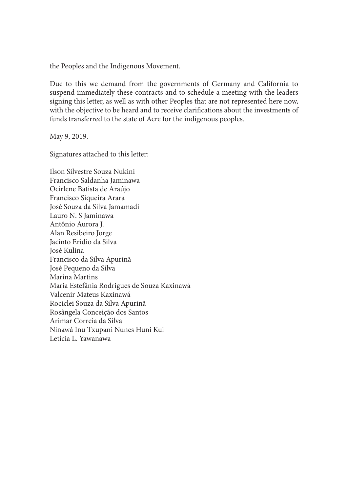the Peoples and the Indigenous Movement.

Due to this we demand from the governments of Germany and California to suspend immediately these contracts and to schedule a meeting with the leaders signing this letter, as well as with other Peoples that are not represented here now, with the objective to be heard and to receive clarifications about the investments of funds transferred to the state of Acre for the indigenous peoples.

May 9, 2019.

Signatures attached to this letter:

Ilson Silvestre Souza Nukini Francisco Saldanha Jaminawa Ocirlene Batista de Araújo Francisco Siqueira Arara José Souza da Silva Jamamadi Lauro N. S Jaminawa Antônio Aurora J. Alan Resibeiro Jorge Jacinto Eridio da Silva José Kulina Francisco da Silva Apurinã José Pequeno da Silva Marina Martins Maria Estefânia Rodrigues de Souza Kaxinawá Valcenir Mateus Kaxinawá Rociclei Souza da Silva Apurinã Rosângela Conceição dos Santos Arimar Correia da Silva Ninawá Inu Txupani Nunes Huni Kui Letícia L. Yawanawa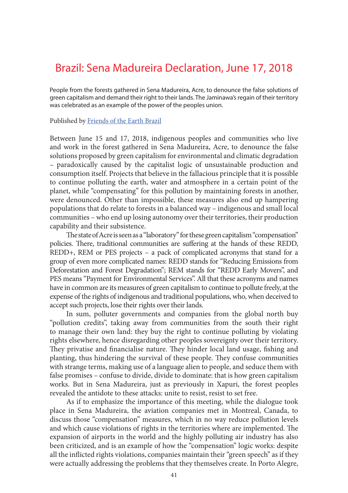### <span id="page-40-0"></span>Brazil: Sena Madureira Declaration, June 17, 2018

People from the forests gathered in Sena Madureira, Acre, to denounce the false solutions of green capitalism and demand their right to their lands. The Jaminawa's regain of their territory was celebrated as an example of the power of the peoples union.

Published by [Friends of the Earth Brazil](http://www.amigosdaterrabrasil.org.br/2018/06/21/declaracao-de-sena-madureira-17-de-junho-de-2018/)

Between June 15 and 17, 2018, indigenous peoples and communities who live and work in the forest gathered in Sena Madureira, Acre, to denounce the false solutions proposed by green capitalism for environmental and climatic degradation – paradoxically caused by the capitalist logic of unsustainable production and consumption itself. Projects that believe in the fallacious principle that it is possible to continue polluting the earth, water and atmosphere in a certain point of the planet, while "compensating" for this pollution by maintaining forests in another, were denounced. Other than impossible, these measures also end up hampering populations that do relate to forests in a balanced way – indigenous and small local communities – who end up losing autonomy over their territories, their production capability and their subsistence.

The state of Acre is seen as a "laboratory" for these green capitalism "compensation" policies. There, traditional communities are suffering at the hands of these REDD, REDD+, REM or PES projects – a pack of complicated acronyms that stand for a group of even more complicated names: REDD stands for "Reducing Emissions from Deforestation and Forest Degradation"; REM stands for "REDD Early Movers", and PES means "Payment for Environmental Services". All that these acronyms and names have in common are its measures of green capitalism to continue to pollute freely, at the expense of the rights of indigenous and traditional populations, who, when deceived to accept such projects, lose their rights over their lands.

In sum, polluter governments and companies from the global north buy "pollution credits", taking away from communities from the south their right to manage their own land: they buy the right to continue polluting by violating rights elsewhere, hence disregarding other peoples sovereignty over their territory. They privatise and financialise nature. They hinder local land usage, fishing and planting, thus hindering the survival of these people. They confuse communities with strange terms, making use of a language alien to people, and seduce them with false promises – confuse to divide, divide to dominate: that is how green capitalism works. But in Sena Madureira, just as previously in Xapuri, the forest peoples revealed the antidote to these attacks: unite to resist, resist to set free.

As if to emphasize the importance of this meeting, while the dialogue took place in Sena Madureira, the aviation companies met in Montreal, Canada, to discuss those "compensation" measures, which in no way reduce pollution levels and which cause violations of rights in the territories where are implemented. The expansion of airports in the world and the highly polluting air industry has also been criticized, and is an example of how the "compensation" logic works: despite all the inflicted rights violations, companies maintain their "green speech" as if they were actually addressing the problems that they themselves create. In Porto Alegre,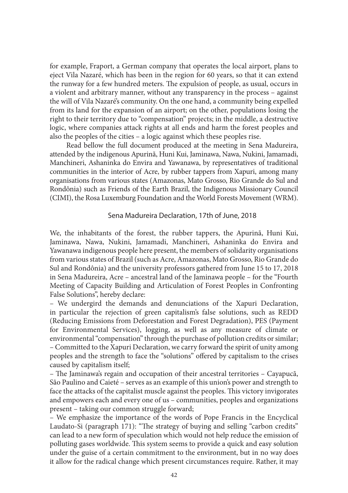for example, Fraport, a German company that operates the local airport, plans to eject Vila Nazaré, which has been in the region for 60 years, so that it can extend the runway for a few hundred meters. The expulsion of people, as usual, occurs in a violent and arbitrary manner, without any transparency in the process – against the will of Vila Nazaré's community. On the one hand, a community being expelled from its land for the expansion of an airport; on the other, populations losing the right to their territory due to "compensation" projects; in the middle, a destructive logic, where companies attack rights at all ends and harm the forest peoples and also the peoples of the cities – a logic against which these peoples rise.

Read bellow the full document produced at the meeting in Sena Madureira, attended by the indigenous Apurinã, Huni Kui, Jaminawa, Nawa, Nukini, Jamamadi, Manchineri, Ashaninka do Envira and Yawanawa, by representatives of traditional communities in the interior of Acre, by rubber tappers from Xapuri, among many organisations from various states (Amazonas, Mato Grosso, Rio Grande do Sul and Rondônia) such as Friends of the Earth Brazil, the Indigenous Missionary Council (CIMI), the Rosa Luxemburg Foundation and the World Forests Movement (WRM).

#### Sena Madureira Declaration, 17th of June, 2018

We, the inhabitants of the forest, the rubber tappers, the Apurinã, Huni Kui, Jaminawa, Nawa, Nukini, Jamamadi, Manchineri, Ashaninka do Envira and Yawanawa indigenous people here present, the members of solidarity organisations from various states of Brazil (such as Acre, Amazonas, Mato Grosso, Rio Grande do Sul and Rondônia) and the university professors gathered from June 15 to 17, 2018 in Sena Madureira, Acre – ancestral land of the Jaminawa people – for the "Fourth Meeting of Capacity Building and Articulation of Forest Peoples in Confronting False Solutions", hereby declare:

– We undergird the demands and denunciations of the Xapuri Declaration, in particular the rejection of green capitalism's false solutions, such as REDD (Reducing Emissions from Deforestation and Forest Degradation), PES (Payment for Environmental Services), logging, as well as any measure of climate or environmental "compensation" through the purchase of pollution credits or similar; – Committed to the Xapuri Declaration, we carry forward the spirit of unity among peoples and the strength to face the "solutions" offered by capitalism to the crises caused by capitalism itself;

– The Jaminawa's regain and occupation of their ancestral territories – Cayapucã, São Paulino and Caieté – serves as an example of this union's power and strength to face the attacks of the capitalist muscle against the peoples. This victory invigorates and empowers each and every one of us – communities, peoples and organizations present – taking our common struggle forward;

– We emphasize the importance of the words of Pope Francis in the Encyclical Laudato-Si (paragraph 171): "The strategy of buying and selling "carbon credits" can lead to a new form of speculation which would not help reduce the emission of polluting gases worldwide. This system seems to provide a quick and easy solution under the guise of a certain commitment to the environment, but in no way does it allow for the radical change which present circumstances require. Rather, it may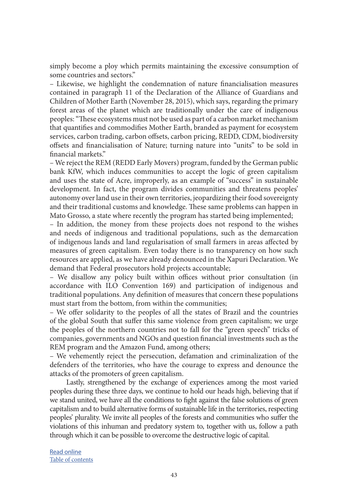simply become a ploy which permits maintaining the excessive consumption of some countries and sectors."

– Likewise, we highlight the condemnation of nature financialisation measures contained in paragraph 11 of the Declaration of the Alliance of Guardians and Children of Mother Earth (November 28, 2015), which says, regarding the primary forest areas of the planet which are traditionally under the care of indigenous peoples: "These ecosystems must not be used as part of a carbon market mechanism that quantifies and commodifies Mother Earth, branded as payment for ecosystem services, carbon trading, carbon offsets, carbon pricing, REDD, CDM, biodiversity offsets and financialisation of Nature; turning nature into "units" to be sold in financial markets."

– We reject the REM (REDD Early Movers) program, funded by the German public bank KfW, which induces communities to accept the logic of green capitalism and uses the state of Acre, improperly, as an example of "success" in sustainable development. In fact, the program divides communities and threatens peoples' autonomy over land use in their own territories, jeopardizing their food sovereignty and their traditional customs and knowledge. These same problems can happen in Mato Grosso, a state where recently the program has started being implemented;

– In addition, the money from these projects does not respond to the wishes and needs of indigenous and traditional populations, such as the demarcation of indigenous lands and land regularisation of small farmers in areas affected by measures of green capitalism. Even today there is no transparency on how such resources are applied, as we have already denounced in the Xapuri Declaration. We demand that Federal prosecutors hold projects accountable;

– We disallow any policy built within offices without prior consultation (in accordance with ILO Convention 169) and participation of indigenous and traditional populations. Any definition of measures that concern these populations must start from the bottom, from within the communities;

– We offer solidarity to the peoples of all the states of Brazil and the countries of the global South that suffer this same violence from green capitalism; we urge the peoples of the northern countries not to fall for the "green speech" tricks of companies, governments and NGOs and question financial investments such as the REM program and the Amazon Fund, among others;

– We vehemently reject the persecution, defamation and criminalization of the defenders of the territories, who have the courage to express and denounce the attacks of the promoters of green capitalism.

Lastly, strengthened by the exchange of experiences among the most varied peoples during these three days, we continue to hold our heads high, believing that if we stand united, we have all the conditions to fight against the false solutions of green capitalism and to build alternative forms of sustainable life in the territories, respecting peoples' plurality. We invite all peoples of the forests and communities who suffer the violations of this inhuman and predatory system to, together with us, follow a path through which it can be possible to overcome the destructive logic of capital.

[Read online](https://wrm.org.uy/other-relevant-information/brazil-sena-madureira-declaration-june-17-2018/) [Table of contents](#page-2-0)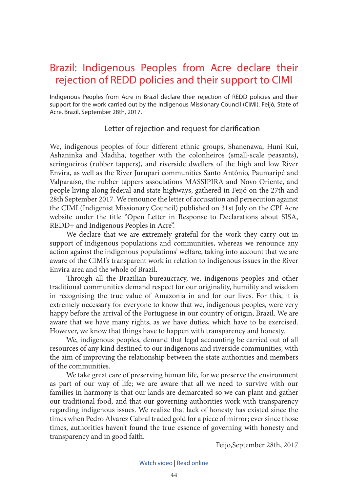### <span id="page-43-0"></span>Brazil: Indigenous Peoples from Acre declare their rejection of REDD policies and their support to CIMI

Indigenous Peoples from Acre in Brazil declare their rejection of REDD policies and their support for the work carried out by the Indigenous Missionary Council (CIMI). Feijó, State of Acre, Brazil, September 28th, 2017.

#### Letter of rejection and request for clarification

We, indigenous peoples of four different ethnic groups, Shanenawa, Huni Kui, Ashaninka and Madiha, together with the colonheiros (small-scale peasants), seringueiros (rubber tappers), and riverside dwellers of the high and low River Envira, as well as the River Jurupari communities Santo Antônio, Paumaripé and Valparaíso, the rubber tappers associations MASSIPIRA and Novo Oriente, and people living along federal and state highways, gathered in Feijó on the 27th and 28th September 2017. We renounce the letter of accusation and persecution against the CIMI (Indigenist Missionary Council) published on 31st July on the CPI Acre website under the title "Open Letter in Response to Declarations about SISA, REDD+ and Indigenous Peoples in Acre".

We declare that we are extremely grateful for the work they carry out in support of indigenous populations and communities, whereas we renounce any action against the indigenous populations' welfare, taking into account that we are aware of the CIMI's transparent work in relation to indigenous issues in the River Envira area and the whole of Brazil.

Through all the Brazilian bureaucracy, we, indigenous peoples and other traditional communities demand respect for our originality, humility and wisdom in recognising the true value of Amazonia in and for our lives. For this, it is extremely necessary for everyone to know that we, indigenous peoples, were very happy before the arrival of the Portuguese in our country of origin, Brazil. We are aware that we have many rights, as we have duties, which have to be exercised. However, we know that things have to happen with transparency and honesty.

We, indigenous peoples, demand that legal accounting be carried out of all resources of any kind destined to our indigenous and riverside communities, with the aim of improving the relationship between the state authorities and members of the communities.

We take great care of preserving human life, for we preserve the environment as part of our way of life; we are aware that all we need to survive with our families in harmony is that our lands are demarcated so we can plant and gather our traditional food, and that our governing authorities work with transparency regarding indigenous issues. We realize that lack of honesty has existed since the times when Pedro Alvarez Cabral traded gold for a piece of mirror; ever since those times, authorities haven't found the true essence of governing with honesty and transparency and in good faith.

Feijo,September 28th, 2017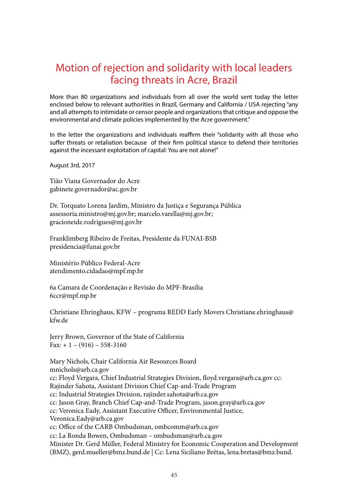### <span id="page-44-0"></span>Motion of rejection and solidarity with local leaders facing threats in Acre, Brazil

More than 80 organizations and individuals from all over the world sent today the letter enclosed below to relevant authorities in Brazil, Germany and California / USA rejecting "any and all attempts to intimidate or censor people and organizations that critique and oppose the environmental and climate policies implemented by the Acre government."

In the letter the organizations and individuals reaffirm their "solidarity with all those who suffer threats or retaliation because of their firm political stance to defend their territories against the incessant exploitation of capital: You are not alone!"

August 3rd, 2017

Tião Viana Governador do Acre gabinete.governador@ac.gov.br

Dr. Torquato Lorena Jardim, Ministro da Justiça e Segurança Pública assessoria.ministro@mj.gov.br; marcelo.varella@mj.gov.br; gracioneide.rodrigues@mj.gov.br

Franklimberg Ribeiro de Freitas, Presidente da FUNAI-BSB presidencia@funai.gov.br

Ministério Público Federal-Acre atendimento.cidadao@mpf.mp.br

6a Camara de Coordenação e Revisão do MPF-Brasilia 6ccr@mpf.mp.br

Christiane Ehringhaus, KFW – programa REDD Early Movers Christiane.ehringhaus@ kfw.de

Jerry Brown, Governor of the State of California Fax:  $+ 1 - (916) - 558 - 3160$ 

Mary Nichols, Chair California Air Resources Board mnichols@arb.ca.gov

cc: Floyd Vergara, Chief Industrial Strategies Division, floyd.vergara@arb.ca.gov cc: Rajinder Sahota, Assistant Division Chief Cap-and-Trade Program cc: Industrial Strategies Division, rajinder.sahota@arb.ca.gov cc: Jason Gray, Branch Chief Cap-and-Trade Program, jason.gray@arb.ca.gov cc: Veronica Eady, Assistant Executive Officer, Environmental Justice, Veronica.Eady@arb.ca.gov cc: Office of the CARB Ombudsman, ombcomm@arb.ca.gov cc: La Ronda Bowen, Ombudsman – ombudsman@arb.ca.gov Minister Dr. Gerd Müller, Federal Ministry for Economic Cooperation and Development (BMZ), gerd.mueller@bmz.bund.de | Cc: Lena Siciliano Brêtas, lena.bretas@bmz.bund.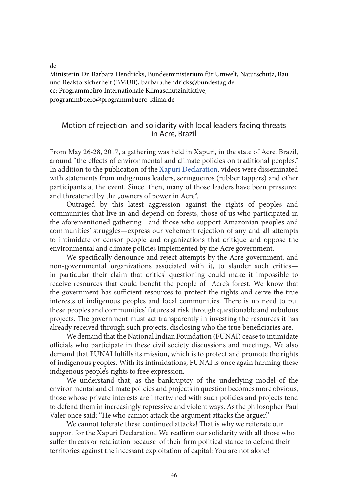de

Ministerin Dr. Barbara Hendricks, Bundesministerium für Umwelt, Naturschutz, Bau und Reaktorsicherheit (BMUB), barbara.hendricks@bundestag.de cc: Programmbüro Internationale Klimaschutzinitiative, programmbuero@programmbuero-klima.de

#### Motion of rejection and solidarity with local leaders facing threats in Acre, Brazil

From May 26-28, 2017, a gathering was held in Xapuri, in the state of Acre, Brazil, around "the effects of environmental and climate policies on traditional peoples." In addition to the publication of the [Xapuri Declaration](https://wrm.org.uy/actions-and-campaigns/xapuri-declaration-may-28-2017/), videos were disseminated with statements from indigenous leaders, seringueiros (rubber tappers) and other participants at the event. Since then, many of those leaders have been pressured and threatened by the "owners of power in Acre".

Outraged by this latest aggression against the rights of peoples and communities that live in and depend on forests, those of us who participated in the aforementioned gathering—and those who support Amazonian peoples and communities' struggles—express our vehement rejection of any and all attempts to intimidate or censor people and organizations that critique and oppose the environmental and climate policies implemented by the Acre government.

We specifically denounce and reject attempts by the Acre government, and non-governmental organizations associated with it, to slander such critics in particular their claim that critics' questioning could make it impossible to receive resources that could benefit the people of Acre's forest. We know that the government has sufficient resources to protect the rights and serve the true interests of indigenous peoples and local communities. There is no need to put these peoples and communities' futures at risk through questionable and nebulous projects. The government must act transparently in investing the resources it has already received through such projects, disclosing who the true beneficiaries are.

We demand that the National Indian Foundation (FUNAI) cease to intimidate officials who participate in these civil society discussions and meetings. We also demand that FUNAI fulfills its mission, which is to protect and promote the rights of indigenous peoples. With its intimidations, FUNAI is once again harming these indigenous people's rights to free expression.

We understand that, as the bankruptcy of the underlying model of the environmental and climate policies and projects in question becomes more obvious, those whose private interests are intertwined with such policies and projects tend to defend them in increasingly repressive and violent ways. As the philosopher Paul Valer once said: "He who cannot attack the argument attacks the arguer."

We cannot tolerate these continued attacks! That is why we reiterate our support for the Xapuri Declaration. We reaffirm our solidarity with all those who suffer threats or retaliation because of their firm political stance to defend their territories against the incessant exploitation of capital: You are not alone!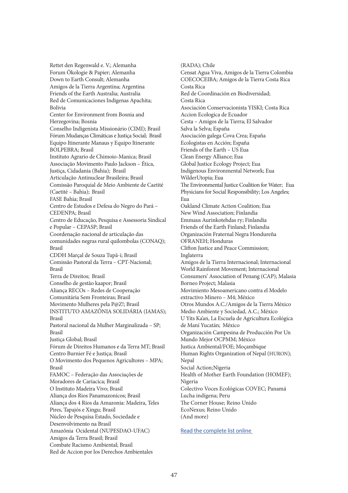Rettet den Regenwald e. V.; Alemanha Forum Ökologie & Papier; Alemanha Down to Earth Consult; Alemanha Amigos de la Tierra Argentina; Argentina Friends of the Earth Australia; Australia Red de Comunicaciones Indigenas Apachita; Bolivia Center for Environment from Bosnia and Herzegovina; Bosnia Conselho Indigenista Missionário (CIMI); Brasil Fórum Mudanças Climáticas e Justiça Social; Brasil Equipo Itinerante Manaus y Equipo Itinerante BOLPEBRA; Brasil Instituto Agrario de Chimoio-Manica; Brasil Associação Movimento Paulo Jackson – Ética, Justiça, Cidadania (Bahia); Brasil Articulação Antinuclear Brasileira; Brasil Comissão Paroquial de Meio Ambiente de Caetité (Caetité – Bahia); Brasil FASE Bahia; Brasil Centro de Estudos e Defesa do Negro do Pará – CEDENPA; Brasil Centro de Educação, Pesquisa e Assessoria Sindical e Popular – CEPASP; Brasil Coordenação nacional de articulação das comunidades negras rural quilombolas (CONAQ); Brasil CDDH Marçal de Souza Tupã-i; Brasil Comissão Pastoral da Terra – CPT-Nacional; Brasil Terra de Direitos; Brasil Conselho de gestão kaapor; Brasil Aliança RECOs – Redes de Cooperação Comunitária Sem Fronteiras; Brasil Movimento Mulheres pela P@Z!; Brasil INSTITUTO AMAZÔNIA SOLIDÁRIA (IAMAS); Brasil Pastoral nacional da Mulher Marginalizada – SP; Brasil Justiça Global; Brasil Fórum de Direitos Humanos e da Terra MT; Brasil Centro Burnier Fé e Justiça; Brasil O Movimento dos Pequenos Agricultores – MPA; Brasil FAMOC – Federação das Associações de Moradores de Cariacica; Brasil O Instituto Madeira Vivo; Brasil Aliança dos Rios Panamazonicos; Brasil Aliança dos 4 Rios da Amazonia: Madeira, Teles Pires, Tapajós e Xingu; Brasil Núcleo de Pesquisa Estado, Sociedade e Desenvolvimento na Brasil Amazônia Ocidental (NUPESDAO-UFAC) Amigos da Terra Brasil; Brasil Combate Racismo Ambiental; Brasil

Red de Accion por los Derechos Ambientales

(RADA); Chile Censat Agua Viva, Amigos de la Tierra Colombia COECOCEIBA; Amigos de la Tierra Costa Rica Costa Rica Red de Coordinación en Biodiversidad; Costa Rica Asociación Conservacionista YISKI; Costa Rica Accion Ecologica de Ecuador Cesta – Amigos de la Tierra; El Salvador Salva la Selva; España Asociación galega Cova Crea; España Ecologistas en Acción; España Friends of the Earth – US Eua Clean Energy Alliance; Eua Global Justice Ecology Project; Eua Indigenous Environmental Network; Eua WilderUtopia; Eua The Environmental Justice Coalition for Water; Eua Physicians for Social Responsibility; Los Angeles; Eua Oakland Climate Action Coalition; Eua New Wind Association; Finlandia Emmaus Aurinkotehdas ry; Finlandia Friends of the Earth Finland; Finlandia Organización Fraternal Negra Hondureña OFRANEH; Honduras Clifton Justice and Peace Commission; Inglaterra Amigos de la Tierra Internacional; Internacional World Rainforest Movement; Internacional Consumers' Association of Penang (CAP); Malasia Borneo Project; Malasia Movimiento Mesoamericano contra el Modelo extractivo Minero – M4; México Otros Mundos A.C./Amigos de la Tierra México Medio Ambiente y Sociedad, A.C.; México U Yits Ka'an, La Escuela de Agricultura Ecológica de Maní Yucatán; México Organización Campesina de Producción Por Un Mundo Mejor OCPMM; México Justica Ambiental/FOE; Moçambique Human Rights Organization of Nepal (HURON); Nepal Social Action;Nigeria Health of Mother Earth Foundation (HOMEF); Nigeria Colectivo Voces Ecológicas COVEC; Panamá Lucha indígena; Peru The Corner House; Reino Unido EcoNexus; Reino Unido (And more)

#### [Read the complete list online](https://wrm.org.uy/actions-and-campaigns/motion-of-rejection-and-solidarity-to-local-leaders-facing-threats-in-acre-brazil/)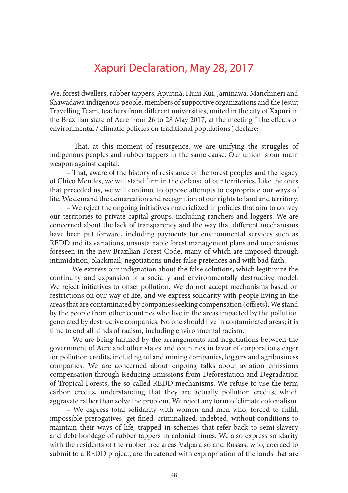### Xapuri Declaration, May 28, 2017

<span id="page-47-0"></span>We, forest dwellers, rubber tappers, Apurinã, Huni Kui, Jaminawa, Manchineri and Shawadawa indigenous people, members of supportive organizations and the Jesuit Travelling Team, teachers from different universities, united in the city of Xapuri in the Brazilian state of Acre from 26 to 28 May 2017, at the meeting "The effects of environmental / climatic policies on traditional populations", declare:

– That, at this moment of resurgence, we are unifying the struggles of indigenous peoples and rubber tappers in the same cause. Our union is our main weapon against capital.

– That, aware of the history of resistance of the forest peoples and the legacy of Chico Mendes, we will stand firm in the defense of our territories. Like the ones that preceded us, we will continue to oppose attempts to expropriate our ways of life. We demand the demarcation and recognition of our rights to land and territory.

– We reject the ongoing initiatives materialized in policies that aim to convey our territories to private capital groups, including ranchers and loggers. We are concerned about the lack of transparency and the way that different mechanisms have been put forward, including payments for environmental services such as REDD and its variations, unsustainable forest management plans and mechanisms foreseen in the new Brazilian Forest Code, many of which are imposed through intimidation, blackmail, negotiations under false pretences and with bad faith.

– We express our indignation about the false solutions, which legitimize the continuity and expansion of a socially and environmentally destructive model. We reject initiatives to offset pollution. We do not accept mechanisms based on restrictions on our way of life, and we express solidarity with people living in the areas that are contaminated by companies seeking compensation (offsets). We stand by the people from other countries who live in the areas impacted by the pollution generated by destructive companies. No one should live in contaminated areas; it is time to end all kinds of racism, including environmental racism.

– We are being harmed by the arrangements and negotiations between the government of Acre and other states and countries in favor of corporations eager for pollution credits, including oil and mining companies, loggers and agribusiness companies. We are concerned about ongoing talks about aviation emissions compensation through Reducing Emissions from Deforestation and Degradation of Tropical Forests, the so-called REDD mechanisms. We refuse to use the term carbon credits, understanding that they are actually pollution credits, which aggravate rather than solve the problem. We reject any form of climate colonialism.

– We express total solidarity with women and men who, forced to fulfill impossible prerogatives, get fined, criminalized, indebted, without conditions to maintain their ways of life, trapped in schemes that refer back to semi-slavery and debt bondage of rubber tappers in colonial times. We also express solidarity with the residents of the rubber tree areas Valparaíso and Russas, who, coerced to submit to a REDD project, are threatened with expropriation of the lands that are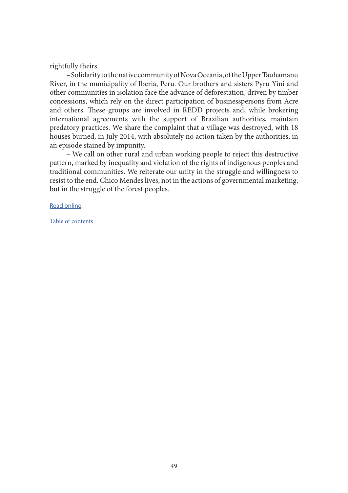rightfully theirs.

– Solidarity to the native community of Nova Oceania, of the Upper Tauhamanu River, in the municipality of Iberia, Peru. Our brothers and sisters Pyru Yini and other communities in isolation face the advance of deforestation, driven by timber concessions, which rely on the direct participation of businesspersons from Acre and others. These groups are involved in REDD projects and, while brokering international agreements with the support of Brazilian authorities, maintain predatory practices. We share the complaint that a village was destroyed, with 18 houses burned, in July 2014, with absolutely no action taken by the authorities, in an episode stained by impunity.

– We call on other rural and urban working people to reject this destructive pattern, marked by inequality and violation of the rights of indigenous peoples and traditional communities. We reiterate our unity in the struggle and willingness to resist to the end. Chico Mendes lives, not in the actions of governmental marketing, but in the struggle of the forest peoples.

[Read online](https://wrm.org.uy/actions-and-campaigns/xapuri-declaration-may-28-2017/)

[Table of contents](#page-2-0)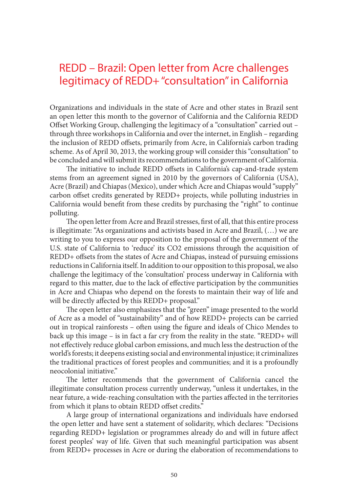### <span id="page-49-0"></span>REDD – Brazil: Open letter from Acre challenges legitimacy of REDD+ "consultation" in California

Organizations and individuals in the state of Acre and other states in Brazil sent an open letter this month to the governor of California and the California REDD Offset Working Group, challenging the legitimacy of a "consultation" carried out – through three workshops in California and over the internet, in English – regarding the inclusion of REDD offsets, primarily from Acre, in California's carbon trading scheme. As of April 30, 2013, the working group will consider this "consultation" to be concluded and will submit its recommendations to the government of California.

The initiative to include REDD offsets in California's cap-and-trade system stems from an agreement signed in 2010 by the governors of California (USA), Acre (Brazil) and Chiapas (Mexico), under which Acre and Chiapas would "supply" carbon offset credits generated by REDD+ projects, while polluting industries in California would benefit from these credits by purchasing the "right" to continue polluting.

The open letter from Acre and Brazil stresses, first of all, that this entire process is illegitimate: "As organizations and activists based in Acre and Brazil, (…) we are writing to you to express our opposition to the proposal of the government of the U.S. state of California to 'reduce' its CO2 emissions through the acquisition of REDD+ offsets from the states of Acre and Chiapas, instead of pursuing emissions reductions in California itself. In addition to our opposition to this proposal, we also challenge the legitimacy of the 'consultation' process underway in California with regard to this matter, due to the lack of effective participation by the communities in Acre and Chiapas who depend on the forests to maintain their way of life and will be directly affected by this REDD+ proposal."

The open letter also emphasizes that the "green" image presented to the world of Acre as a model of "sustainability" and of how REDD+ projects can be carried out in tropical rainforests – often using the figure and ideals of Chico Mendes to back up this image – is in fact a far cry from the reality in the state. "REDD+ will not effectively reduce global carbon emissions, and much less the destruction of the world's forests; it deepens existing social and environmental injustice; it criminalizes the traditional practices of forest peoples and communities; and it is a profoundly neocolonial initiative."

The letter recommends that the government of California cancel the illegitimate consultation process currently underway, "unless it undertakes, in the near future, a wide-reaching consultation with the parties affected in the territories from which it plans to obtain REDD offset credits."

A large group of international organizations and individuals have endorsed the open letter and have sent a statement of solidarity, which declares: "Decisions regarding REDD+ legislation or programmes already do and will in future affect forest peoples' way of life. Given that such meaningful participation was absent from REDD+ processes in Acre or during the elaboration of recommendations to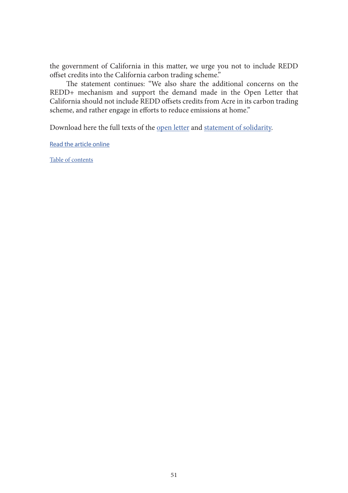the government of California in this matter, we urge you not to include REDD offset credits into the California carbon trading scheme."

The statement continues: "We also share the additional concerns on the REDD+ mechanism and support the demand made in the Open Letter that California should not include REDD offsets credits from Acre in its carbon trading scheme, and rather engage in efforts to reduce emissions at home."

Download here the full texts of the [open letter](https://wrm.org.uy/wp-content/uploads/2018/07/OpenLetter-Acre.pdf) and [statement of solidarity](https://wrm.org.uy/wp-content/uploads/2018/07/AcreSolidarity-OpenLetter.pdf).

[Read the article online](https://wrm.org.uy/articles-from-the-wrm-bulletin/section1/redd-brazil-open-letter-from-acre-challenges-legitimacy-of-redd-consultation-in-california/)

[Table of contents](#page-2-0)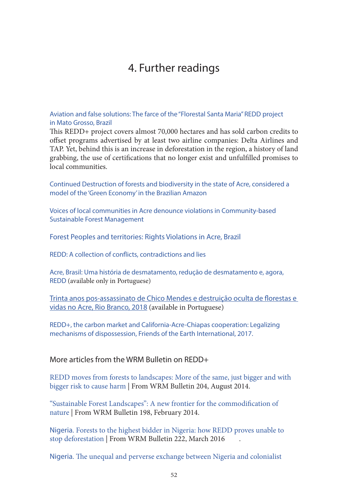### 4. Further readings

<span id="page-51-0"></span>[Aviation and false solutions: The farce of the "Florestal Santa Maria" REDD project](https://wrm.org.uy/books-and-briefings/aviation-and-false-solutions-the-farce-of-the-florestal-santa-maria-redd-project-in-mato-grosso-brazil/)  [in Mato Grosso, Brazil](https://wrm.org.uy/books-and-briefings/aviation-and-false-solutions-the-farce-of-the-florestal-santa-maria-redd-project-in-mato-grosso-brazil/)

This REDD+ project covers almost 70,000 hectares and has sold carbon credits to offset programs advertised by at least two airline companies: Delta Airlines and TAP. Yet, behind this is an increase in deforestation in the region, a history of land grabbing, the use of certifications that no longer exist and unfulfilled promises to local communities.

[Continued Destruction of forests and biodiversity in the state of Acre, considered a](https://wrm.org.uy/articles-from-the-wrm-bulletin/section2/brazil-continued-destruction-of-forests-and-biodiversity-in-the-state-of-acre-considered-a-model-of-the-green-economy-in-the-brazilian-amazon/)  [model of the 'Green Economy' in the Brazilian Amazon](https://wrm.org.uy/articles-from-the-wrm-bulletin/section2/brazil-continued-destruction-of-forests-and-biodiversity-in-the-state-of-acre-considered-a-model-of-the-green-economy-in-the-brazilian-amazon/)

[Voices of local communities in Acre denounce violations in Community-based](https://wrm.org.uy/articles-from-the-wrm-bulletin/section1/brazil-voices-of-local-communities-in-acre-denounce-violations-in-community-based-sustainable-forest-management/)  [Sustainable Forest Management](https://wrm.org.uy/articles-from-the-wrm-bulletin/section1/brazil-voices-of-local-communities-in-acre-denounce-violations-in-community-based-sustainable-forest-management/)

[Forest Peoples and territories: Rights Violations in Acre, Brazil](https://wrm.org.uy/other-relevant-information/forest-peoples-and-territories-rights-violations-in-acre-brazil/) 

[REDD: A collection of conflicts, contradictions and lies](https://wrm.org.uy/books-and-briefings/redd-a-collection-of-conflicts-contradictions-and-lies/)

[Acre, Brasil: Uma história de desmatamento, redução de desmatamento e, agora,](https://wrm.org.uy/pt/outras-informacoes-relevantes/acre-brasil-uma-historia-de-desmatamento-reducao-de-desmatamento-e-agora-redd/)  [REDD](https://wrm.org.uy/pt/outras-informacoes-relevantes/acre-brasil-uma-historia-de-desmatamento-reducao-de-desmatamento-e-agora-redd/) (available only in Portuguese)

[Trinta anos pos-assassinato de Chico Mendes e destruição oculta de florestas e](https://chicomendes30.files.wordpress.com/2019/02/trinta-anos-pc3b3s-assassinato-de-chico-mendes-e-destruic3a7c3a3o-oculta-de-florestas-e-vidas-no-acre-rio-bran.pdf)  [vidas no Acre, Rio Branco, 2018](https://chicomendes30.files.wordpress.com/2019/02/trinta-anos-pc3b3s-assassinato-de-chico-mendes-e-destruic3a7c3a3o-oculta-de-florestas-e-vidas-no-acre-rio-bran.pdf) (available in Portuguese)

[REDD+, the carbon market and California-Acre-Chiapas cooperation: Legalizing](https://www.foei.org/wp-content/uploads/2018/01/REDD_The-carbon-market-and-the-California-Acre-Chiapas-cooperation.pdf)  [mechanisms of dispossession, Friends of the Earth International, 2017.](https://www.foei.org/wp-content/uploads/2018/01/REDD_The-carbon-market-and-the-California-Acre-Chiapas-cooperation.pdf)

More articles from the WRM Bulletin on REDD+

[REDD moves from forests to landscapes: More of the same, just bigger and with](https://wrm.org.uy/articles-from-the-wrm-bulletin/section1/redd-moves-from-forests-to-landscapes-more-of-the-same-just-bigger-and-with-bigger-risk-to-cause-harm/)  [bigger risk to cause harm](https://wrm.org.uy/articles-from-the-wrm-bulletin/section1/redd-moves-from-forests-to-landscapes-more-of-the-same-just-bigger-and-with-bigger-risk-to-cause-harm/) | From WRM Bulletin 204, August 2014.

["Sustainable Forest Landscapes": A new frontier for the commodification of](https://wrm.org.uy/articles-from-the-wrm-bulletin/viewpoint/sustainable-forest-landscapes-a-new-frontier-for-the-commodification-of-nature/)  [nature](https://wrm.org.uy/articles-from-the-wrm-bulletin/viewpoint/sustainable-forest-landscapes-a-new-frontier-for-the-commodification-of-nature/) | From WRM Bulletin 198, February 2014.

Nigeria[. Forests to the highest bidder in Nigeria: how REDD proves unable to](https://wrm.org.uy/articles-from-the-wrm-bulletin/section1/forests-to-the-highest-bidder-in-nigeria-how-redd-proves-unable-to-stop-deforestation/)  [stop deforestation](https://wrm.org.uy/articles-from-the-wrm-bulletin/section1/forests-to-the-highest-bidder-in-nigeria-how-redd-proves-unable-to-stop-deforestation/) | From WRM Bulletin 222, March 2016 .

Nigeria[. The unequal and perverse exchange between Nigeria and colonialist](https://wrm.org.uy/articles-from-the-wrm-bulletin/section1/the-unequal-and-perverse-exchange-between-nigeria-and-colonialist-corporate-powers-from-fossil-fuels-to-industrial-oil-palm-plantations-and-redd/)